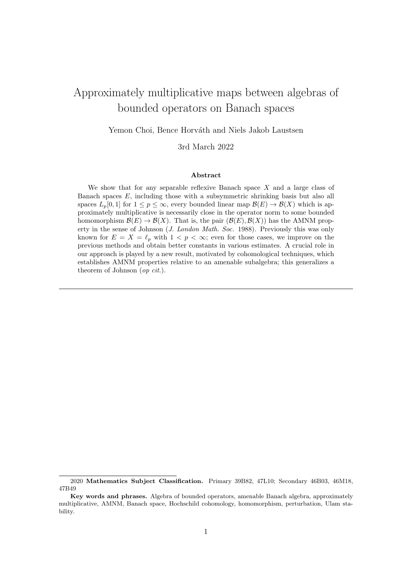# Approximately multiplicative maps between algebras of bounded operators on Banach spaces

Yemon Choi, Bence Horváth and Niels Jakob Laustsen

3rd March 2022

#### Abstract

We show that for any separable reflexive Banach space  $X$  and a large class of Banach spaces E, including those with a subsymmetric shrinking basis but also all spaces  $L_p[0,1]$  for  $1 \leq p \leq \infty$ , every bounded linear map  $\mathcal{B}(E) \to \mathcal{B}(X)$  which is approximately multiplicative is necessarily close in the operator norm to some bounded homomorphism  $\mathcal{B}(E) \to \mathcal{B}(X)$ . That is, the pair  $(\mathcal{B}(E), \mathcal{B}(X))$  has the AMNM property in the sense of Johnson (J. London Math. Soc. 1988). Previously this was only known for  $E = X = \ell_p$  with  $1 \le p \le \infty$ ; even for those cases, we improve on the previous methods and obtain better constants in various estimates. A crucial role in our approach is played by a new result, motivated by cohomological techniques, which establishes AMNM properties relative to an amenable subalgebra; this generalizes a theorem of Johnson (op cit.).

<sup>2020</sup> Mathematics Subject Classification. Primary 39B82, 47L10; Secondary 46B03, 46M18, 47B49

Key words and phrases. Algebra of bounded operators, amenable Banach algebra, approximately multiplicative, AMNM, Banach space, Hochschild cohomology, homomorphism, perturbation, Ulam stability.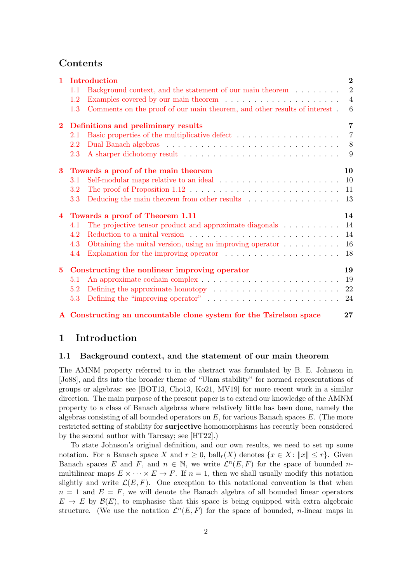# Contents

| $\mathbf{1}$   | Introduction                                  |                                                                                                    |                     |  |  |
|----------------|-----------------------------------------------|----------------------------------------------------------------------------------------------------|---------------------|--|--|
|                | 1.1                                           | Background context, and the statement of our main theorem                                          | $\overline{2}$      |  |  |
|                | 1.2                                           |                                                                                                    | $\overline{4}$      |  |  |
|                | 1.3                                           | Comments on the proof of our main theorem, and other results of interest.                          | $6\phantom{.}6$     |  |  |
| $\overline{2}$ |                                               | Definitions and preliminary results                                                                |                     |  |  |
|                | 2.1                                           |                                                                                                    | $\overline{7}$      |  |  |
|                | 2.2                                           |                                                                                                    |                     |  |  |
|                | 2.3                                           |                                                                                                    | - 9                 |  |  |
| $\bf{3}$       | Towards a proof of the main theorem           |                                                                                                    |                     |  |  |
|                | 3.1                                           |                                                                                                    |                     |  |  |
|                | $3.2\,$                                       | The proof of Proposition $1.12 \ldots \ldots \ldots \ldots \ldots \ldots \ldots \ldots \ldots 11$  |                     |  |  |
|                | 3.3                                           | Deducing the main theorem from other results $\ldots \ldots \ldots \ldots \ldots 13$               | 7<br>10<br>14<br>19 |  |  |
| $\overline{4}$ | Towards a proof of Theorem 1.11               |                                                                                                    |                     |  |  |
|                | 4.1                                           | The projective tensor product and approximate diagonals $\dots \dots \dots$ 14                     |                     |  |  |
|                | 4.2                                           |                                                                                                    | 14                  |  |  |
|                | 4.3                                           | Obtaining the unital version, using an improving operator $\dots \dots \dots$                      | 16                  |  |  |
|                | 4.4                                           | Explanation for the improving operator $\ldots \ldots \ldots \ldots \ldots \ldots$                 | 18                  |  |  |
| $5^{\circ}$    | Constructing the nonlinear improving operator |                                                                                                    |                     |  |  |
|                | 5.1                                           |                                                                                                    | 19                  |  |  |
|                | 5.2                                           | Defining the approximate homotopy $\ldots \ldots \ldots \ldots \ldots \ldots \ldots 22$            |                     |  |  |
|                | 5.3                                           | Defining the "improving operator" $\dots \dots \dots \dots \dots \dots \dots \dots \dots \dots$ 24 |                     |  |  |
|                |                                               | A Constructing an uncountable clone system for the Tsirelson space                                 | 27                  |  |  |

# <span id="page-1-0"></span>1 Introduction

#### <span id="page-1-1"></span>1.1 Background context, and the statement of our main theorem

The AMNM property referred to in the abstract was formulated by B. E. Johnson in [\[Jo88\]](#page-28-0), and fits into the broader theme of "Ulam stability" for normed representations of groups or algebras: see [\[BOT13,](#page-27-0) [Cho13,](#page-27-1) [Ko21,](#page-28-1) [MV19\]](#page-28-2) for more recent work in a similar direction. The main purpose of the present paper is to extend our knowledge of the AMNM property to a class of Banach algebras where relatively little has been done, namely the algebras consisting of all bounded operators on  $E$ , for various Banach spaces  $E$ . (The more restricted setting of stability for surjective homomorphisms has recently been considered by the second author with Tarcsay; see [\[HT22\]](#page-28-3).)

To state Johnson's original definition, and our own results, we need to set up some notation. For a Banach space X and  $r \geq 0$ ,  $ball_r(X)$  denotes  $\{x \in X : ||x|| \leq r\}$ . Given Banach spaces E and F, and  $n \in \mathbb{N}$ , we write  $\mathcal{L}^n(E,F)$  for the space of bounded nmultilinear maps  $E \times \cdots \times E \to F$ . If  $n = 1$ , then we shall usually modify this notation slightly and write  $\mathcal{L}(E, F)$ . One exception to this notational convention is that when  $n = 1$  and  $E = F$ , we will denote the Banach algebra of all bounded linear operators  $E \to E$  by  $\mathcal{B}(E)$ , to emphasise that this space is being equipped with extra algebraic structure. (We use the notation  $\mathcal{L}^n(E,F)$  for the space of bounded, *n*-linear maps in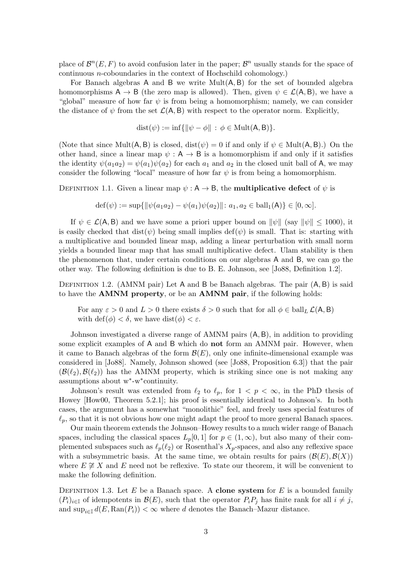place of  $\mathcal{B}^n(E,F)$  to avoid confusion later in the paper;  $\mathcal{B}^n$  usually stands for the space of continuous n-coboundaries in the context of Hochschild cohomology.)

For Banach algebras A and B we write  $Mult(A, B)$  for the set of bounded algebra homomorphisms  $A \rightarrow B$  (the zero map is allowed). Then, given  $\psi \in \mathcal{L}(A, B)$ , we have a "global" measure of how far  $\psi$  is from being a homomorphism; namely, we can consider the distance of  $\psi$  from the set  $\mathcal{L}(A, B)$  with respect to the operator norm. Explicitly,

$$
dist(\psi) := \inf \{ \|\psi - \phi\| \, : \, \phi \in \text{Mult}(A, B) \}.
$$

(Note that since Mult(A, B) is closed, dist( $\psi$ ) = 0 if and only if  $\psi \in \text{Mult}(A, B)$ .) On the other hand, since a linear map  $\psi : A \to B$  is a homomorphism if and only if it satisfies the identity  $\psi(a_1a_2) = \psi(a_1)\psi(a_2)$  for each  $a_1$  and  $a_2$  in the closed unit ball of A, we may consider the following "local" measure of how far  $\psi$  is from being a homomorphism.

DEFINITION 1.1. Given a linear map  $\psi : A \rightarrow B$ , the **multiplicative defect** of  $\psi$  is

$$
\text{def}(\psi) := \sup \{ \|\psi(a_1 a_2) - \psi(a_1)\psi(a_2)\| \colon a_1, a_2 \in \text{ball}_1(\mathsf{A})\} \in [0, \infty].
$$

If  $\psi \in \mathcal{L}(\mathsf{A}, \mathsf{B})$  and we have some a priori upper bound on  $\|\psi\|$  (say  $\|\psi\| \leq 1000$ ), it is easily checked that dist( $\psi$ ) being small implies def( $\psi$ ) is small. That is: starting with a multiplicative and bounded linear map, adding a linear perturbation with small norm yields a bounded linear map that has small multiplicative defect. Ulam stability is then the phenomenon that, under certain conditions on our algebras A and B, we can go the other way. The following definition is due to B. E. Johnson, see [\[Jo88,](#page-28-0) Definition 1.2].

DEFINITION 1.2. (AMNM pair) Let A and B be Banach algebras. The pair  $(A, B)$  is said to have the **AMNM** property, or be an **AMNM** pair, if the following holds:

For any  $\varepsilon > 0$  and  $L > 0$  there exists  $\delta > 0$  such that for all  $\phi \in \text{ball}_L \mathcal{L}(A, B)$ with  $\text{def}(\phi) < \delta$ , we have  $\text{dist}(\phi) < \varepsilon$ .

Johnson investigated a diverse range of AMNM pairs (A, B), in addition to providing some explicit examples of A and B which do not form an AMNM pair. However, when it came to Banach algebras of the form  $\mathcal{B}(E)$ , only one infinite-dimensional example was considered in [\[Jo88\]](#page-28-0). Namely, Johnson showed (see [\[Jo88,](#page-28-0) Proposition 6.3]) that the pair  $(\mathcal{B}(\ell_2), \mathcal{B}(\ell_2))$  has the AMNM property, which is striking since one is not making any assumptions about w<sup>∗</sup> -w<sup>∗</sup> continuity.

Johnson's result was extended from  $\ell_2$  to  $\ell_p$ , for  $1 < p < \infty$ , in the PhD thesis of Howey [\[How00,](#page-28-4) Theorem 5.2.1]; his proof is essentially identical to Johnson's. In both cases, the argument has a somewhat "monolithic" feel, and freely uses special features of  $\ell_p$ , so that it is not obvious how one might adapt the proof to more general Banach spaces.

Our main theorem extends the Johnson–Howey results to a much wider range of Banach spaces, including the classical spaces  $L_p[0, 1]$  for  $p \in (1, \infty)$ , but also many of their complemented subspaces such as  $\ell_p(\ell_2)$  or Rosenthal's  $X_p$ -spaces, and also any reflexive space with a subsymmetric basis. At the same time, we obtain results for pairs  $(\mathcal{B}(E), \mathcal{B}(X))$ where  $E \not\cong X$  and E need not be reflexive. To state our theorem, it will be convenient to make the following definition.

DEFINITION 1.3. Let  $E$  be a Banach space. A clone system for  $E$  is a bounded family  $(P_i)_{i\in\mathbb{I}}$  of idempotents in  $\mathcal{B}(E)$ , such that the operator  $P_iP_j$  has finite rank for all  $i \neq j$ , and  $\sup_{i\in\mathbb{I}} d(E, \text{Ran}(P_i)) < \infty$  where d denotes the Banach–Mazur distance.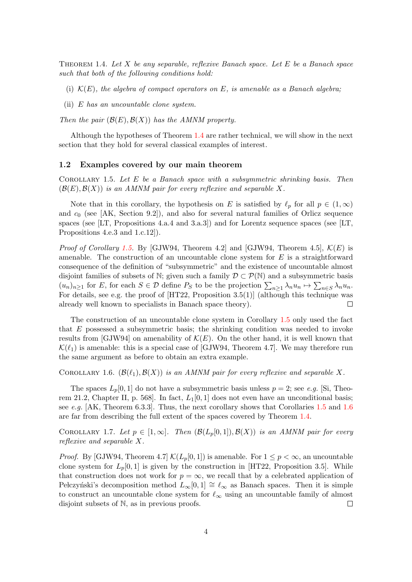<span id="page-3-1"></span>THEOREM 1.4. Let  $X$  be any separable, reflexive Banach space. Let  $E$  be a Banach space such that both of the following conditions hold:

- (i)  $K(E)$ , the algebra of compact operators on E, is amenable as a Banach algebra;
- (ii)  $E$  has an uncountable clone system.

Then the pair  $(\mathcal{B}(E), \mathcal{B}(X))$  has the AMNM property.

Although the hypotheses of Theorem [1.4](#page-3-1) are rather technical, we will show in the next section that they hold for several classical examples of interest.

#### <span id="page-3-0"></span>1.2 Examples covered by our main theorem

<span id="page-3-2"></span>COROLLARY 1.5. Let  $E$  be a Banach space with a subsymmetric shrinking basis. Then  $(\mathcal{B}(E), \mathcal{B}(X))$  is an AMNM pair for every reflexive and separable X.

Note that in this corollary, the hypothesis on E is satisfied by  $\ell_p$  for all  $p \in (1,\infty)$ and  $c_0$  (see [\[AK,](#page-27-2) Section 9.2]), and also for several natural families of Orlicz sequence spaces (see [\[LT,](#page-28-5) Propositions 4.a.4 and 3.a.3]) and for Lorentz sequence spaces (see [\[LT,](#page-28-5) Propositions 4.e.3 and 1.c.12]).

*Proof of Corollary [1.5.](#page-3-2)* By [\[GJW94,](#page-28-6) Theorem 4.2] and [GJW94, Theorem 4.5],  $\mathcal{K}(E)$  is amenable. The construction of an uncountable clone system for  $E$  is a straightforward consequence of the definition of "subsymmetric" and the existence of uncountable almost disjoint families of subsets of N; given such a family  $\mathcal{D} \subset \mathcal{P}(\mathbb{N})$  and a subsymmetric basis  $(u_n)_{n\geq 1}$  for E, for each  $S \in \mathcal{D}$  define  $P_S$  to be the projection  $\sum_{n\geq 1} \lambda_n u_n \mapsto \sum_{n\in S} \lambda_n u_n$ . For details, see e.g. the proof of  $[HT22,$  Proposition 3.5(1)] (although this technique was already well known to specialists in Banach space theory). П

The construction of an uncountable clone system in Corollary [1.5](#page-3-2) only used the fact that  $E$  possessed a subsymmetric basis; the shrinking condition was needed to invoke results from [\[GJW94\]](#page-28-6) on amenability of  $\mathcal{K}(E)$ . On the other hand, it is well known that  $\mathcal{K}(\ell_1)$  is amenable: this is a special case of [\[GJW94,](#page-28-6) Theorem 4.7]. We may therefore run the same argument as before to obtain an extra example.

<span id="page-3-3"></span>COROLLARY 1.6.  $(\mathcal{B}(\ell_1), \mathcal{B}(X))$  is an AMNM pair for every reflexive and separable X.

The spaces  $L_p[0,1]$  do not have a subsymmetric basis unless  $p=2$ ; see e.g. [\[Si,](#page-28-7) Theorem 21.2, Chapter II, p. 568. In fact,  $L_1[0,1]$  does not even have an unconditional basis; see e.g.  $[AK, Theorem 6.3.3]$  $[AK, Theorem 6.3.3]$ . Thus, the next corollary shows that Corollaries [1.5](#page-3-2) and [1.6](#page-3-3) are far from describing the full extent of the spaces covered by Theorem [1.4.](#page-3-1)

COROLLARY 1.7. Let  $p \in [1,\infty]$ . Then  $(\mathcal{B}(L_p[0,1]),\mathcal{B}(X))$  is an AMNM pair for every reflexive and separable X.

*Proof.* By [\[GJW94,](#page-28-6) Theorem 4.7]  $\mathcal{K}(L_p[0,1])$  is amenable. For  $1 \leq p < \infty$ , an uncountable clone system for  $L_p[0, 1]$  is given by the construction in [\[HT22,](#page-28-3) Proposition 3.5]. While that construction does not work for  $p = \infty$ , we recall that by a celebrated application of Pełczyński's decomposition method  $L_{\infty}[0, 1] \cong \ell_{\infty}$  as Banach spaces. Then it is simple to construct an uncountable clone system for  $\ell_{\infty}$  using an uncountable family of almost disjoint subsets of N, as in previous proofs.  $\Box$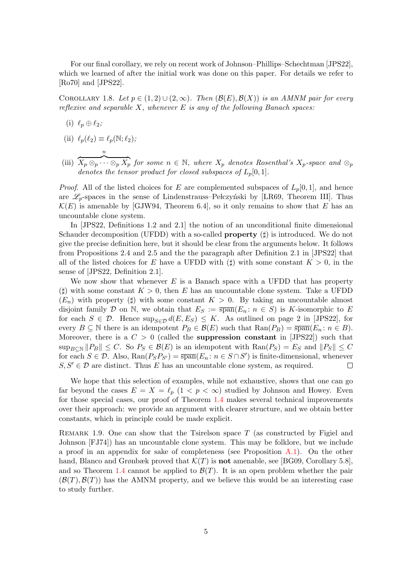For our final corollary, we rely on recent work of Johnson–Phillips–Schechtman [\[JPS22\]](#page-28-8), which we learned of after the initial work was done on this paper. For details we refer to [\[Ro70\]](#page-28-9) and [\[JPS22\]](#page-28-8).

<span id="page-4-0"></span>COROLLARY 1.8. Let  $p \in (1,2) \cup (2,\infty)$ . Then  $(\mathcal{B}(E),\mathcal{B}(X))$  is an AMNM pair for every reflexive and separable X, whenever  $E$  is any of the following Banach spaces:

- (i)  $\ell_p \oplus \ell_2;$
- (ii)  $\ell_p(\ell_2) \equiv \ell_p(\mathbb{N}; \ell_2);$

n

(iii)  $\overline{X_p\otimes_p\cdots\otimes_pX_p}$  for some  $n\in\mathbb{N},$  where  $X_p$  denotes Rosenthal's  $X_p$ -space and  $\otimes_p$ denotes the tensor product for closed subspaces of  $L_p[0, 1]$ .

*Proof.* All of the listed choices for E are complemented subspaces of  $L_p[0, 1]$ , and hence are  $\mathscr{L}_p$ -spaces in the sense of Lindenstrauss–Pełczyński by [\[LR69,](#page-28-10) Theorem III]. Thus  $\mathcal{K}(E)$  is amenable by [\[GJW94,](#page-28-6) Theorem 6.4], so it only remains to show that E has an uncountable clone system.

In [\[JPS22,](#page-28-8) Definitions 1.2 and 2.1] the notion of an unconditional finite dimensional Schauder decomposition (UFDD) with a so-called **property**  $(\sharp)$  is introduced. We do not give the precise definition here, but it should be clear from the arguments below. It follows from Propositions 2.4 and 2.5 and the the paragraph after Definition 2.1 in [\[JPS22\]](#page-28-8) that all of the listed choices for E have a UFDD with ( $\sharp$ ) with some constant  $K > 0$ , in the sense of [\[JPS22,](#page-28-8) Definition 2.1].

We now show that whenever  $E$  is a Banach space with a UFDD that has property ( $\sharp$ ) with some constant  $K > 0$ , then E has an uncountable clone system. Take a UFDD  $(E_n)$  with property ( $\sharp$ ) with some constant  $K > 0$ . By taking an uncountable almost disjoint family D on N, we obtain that  $E_S := \overline{\text{span}}(E_n : n \in S)$  is K-isomorphic to E for each  $S \in \mathcal{D}$ . Hence  $\sup_{S \in \mathcal{D}} d(E, E_S) \leq K$ . As outlined on page 2 in [\[JPS22\]](#page-28-8), for every  $B \subseteq \mathbb{N}$  there is an idempotent  $P_B \in \mathcal{B}(E)$  such that  $\text{Ran}(P_B) = \overline{\text{span}}(E_n : n \in B)$ . Moreover, there is a  $C > 0$  (called the **suppression constant** in [\[JPS22\]](#page-28-8)) such that  $\sup_{B\subset\mathbb{N}}||P_B|| \leq C$ . So  $P_S \in \mathcal{B}(E)$  is an idempotent with  $\text{Ran}(P_S) = E_S$  and  $||P_S|| \leq C$ for each  $S \in \mathcal{D}$ . Also,  $\text{Ran}(P_S P_{S'}) = \overline{\text{span}}(E_n : n \in S \cap S')$  is finite-dimensional, whenever  $S, S' \in \mathcal{D}$  are distinct. Thus E has an uncountable clone system, as required.  $\Box$ 

We hope that this selection of examples, while not exhaustive, shows that one can go far beyond the cases  $E = X = \ell_p (1 \le p \le \infty)$  studied by Johnson and Howey. Even for those special cases, our proof of Theorem [1.4](#page-3-1) makes several technical improvements over their approach: we provide an argument with clearer structure, and we obtain better constants, which in principle could be made explicit.

<span id="page-4-1"></span>REMARK 1.9. One can show that the Tsirelson space  $T$  (as constructed by Figiel and Johnson [\[FJ74\]](#page-28-11)) has an uncountable clone system. This may be folklore, but we include a proof in an appendix for sake of completeness (see Proposition  $A.1$ ). On the other hand, Blanco and Grønbæk proved that  $\mathcal{K}(T)$  is **not** amenable, see [\[BG09,](#page-27-3) Corollary 5.8], and so Theorem [1.4](#page-3-1) cannot be applied to  $\mathcal{B}(T)$ . It is an open problem whether the pair  $(\mathcal{B}(T), \mathcal{B}(T))$  has the AMNM property, and we believe this would be an interesting case to study further.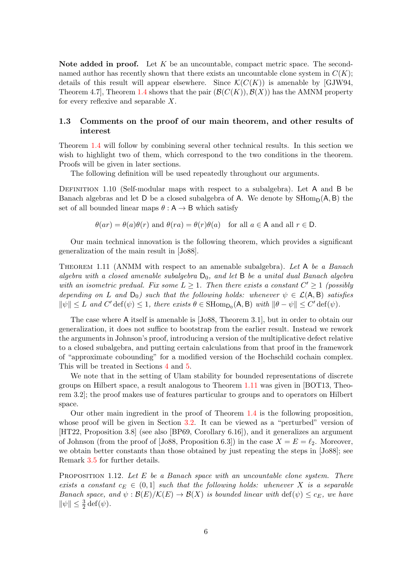Note added in proof. Let  $K$  be an uncountable, compact metric space. The secondnamed author has recently shown that there exists an uncountable clone system in  $C(K)$ ; details of this result will appear elsewhere. Since  $\mathcal{K}(C(K))$  is amenable by [\[GJW94,](#page-28-6) Theorem 4.7, Theorem [1.4](#page-3-1) shows that the pair  $(\mathcal{B}(C(K)), \mathcal{B}(X))$  has the AMNM property for every reflexive and separable X.

### <span id="page-5-0"></span>1.3 Comments on the proof of our main theorem, and other results of interest

Theorem [1.4](#page-3-1) will follow by combining several other technical results. In this section we wish to highlight two of them, which correspond to the two conditions in the theorem. Proofs will be given in later sections.

The following definition will be used repeatedly throughout our arguments.

DEFINITION 1.10 (Self-modular maps with respect to a subalgebra). Let A and B be Banach algebras and let D be a closed subalgebra of A. We denote by  $\text{SHom}_{D}(A, B)$  the set of all bounded linear maps  $\theta : A \rightarrow B$  which satisfy

$$
\theta(ar) = \theta(a)\theta(r)
$$
 and  $\theta-ra) = \theta(r)\theta(a)$  for all  $a \in A$  and all  $r \in D$ .

Our main technical innovation is the following theorem, which provides a significant generalization of the main result in [\[Jo88\]](#page-28-0).

<span id="page-5-2"></span>THEOREM 1.11 (ANMM with respect to an amenable subalgebra). Let A be a Banach algebra with a closed amenable subalgebra  $D_0$ , and let B be a unital dual Banach algebra with an isometric predual. Fix some  $L \geq 1$ . Then there exists a constant  $C' \geq 1$  (possibly depending on L and  $D_0$ ) such that the following holds: whenever  $\psi \in \mathcal{L}(A, B)$  satisfies  $\|\psi\| \leq L$  and  $C'$  def $(\psi) \leq 1$ , there exists  $\theta \in \text{SHom}_{\mathsf{D}_0}(\mathsf{A}, \mathsf{B})$  with  $\|\theta - \psi\| \leq C'$  def $(\psi)$ .

The case where A itself is amenable is [\[Jo88,](#page-28-0) Theorem 3.1], but in order to obtain our generalization, it does not suffice to bootstrap from the earlier result. Instead we rework the arguments in Johnson's proof, introducing a version of the multiplicative defect relative to a closed subalgebra, and putting certain calculations from that proof in the framework of "approximate cobounding" for a modified version of the Hochschild cochain complex. This will be treated in Sections [4](#page-13-0) and [5.](#page-18-0)

We note that in the setting of Ulam stability for bounded representations of discrete groups on Hilbert space, a result analogous to Theorem [1.11](#page-5-2) was given in [\[BOT13,](#page-27-0) Theorem 3.2]; the proof makes use of features particular to groups and to operators on Hilbert space.

Our other main ingredient in the proof of Theorem [1.4](#page-3-1) is the following proposition, whose proof will be given in Section [3.2.](#page-10-0) It can be viewed as a "perturbed" version of [\[HT22,](#page-28-3) Proposition 3.8] (see also [\[BP69,](#page-27-4) Corollary 6.16]), and it generalizes an argument of Johnson (from the proof of [\[Jo88,](#page-28-0) Proposition 6.3]) in the case  $X = E = \ell_2$ . Moreover, we obtain better constants than those obtained by just repeating the steps in [\[Jo88\]](#page-28-0); see Remark [3.5](#page-11-0) for further details.

<span id="page-5-1"></span>**PROPOSITION** 1.12. Let E be a Banach space with an uncountable clone system. There exists a constant  $c_E \in (0,1]$  such that the following holds: whenever X is a separable Banach space, and  $\psi : \mathcal{B}(E)/\mathcal{K}(E) \to \mathcal{B}(X)$  is bounded linear with  $\text{def}(\psi) \leq c_E$ , we have  $\|\psi\| \leq \frac{3}{2} \det(\psi).$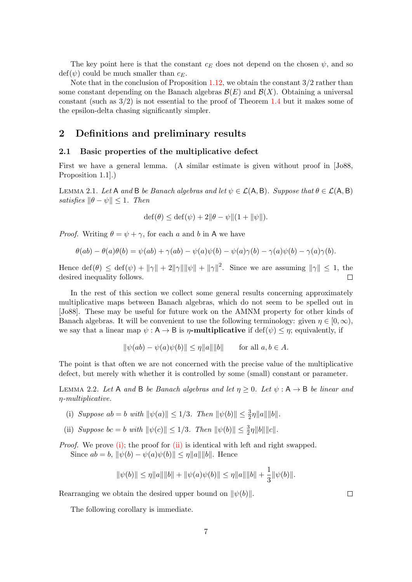The key point here is that the constant  $c_E$  does not depend on the chosen  $\psi$ , and so  $\text{def}(\psi)$  could be much smaller than  $c_F$ .

Note that in the conclusion of Proposition [1.12,](#page-5-1) we obtain the constant  $3/2$  rather than some constant depending on the Banach algebras  $\mathcal{B}(E)$  and  $\mathcal{B}(X)$ . Obtaining a universal constant (such as  $3/2$ ) is not essential to the proof of Theorem [1.4](#page-3-1) but it makes some of the epsilon-delta chasing significantly simpler.

# <span id="page-6-0"></span>2 Definitions and preliminary results

#### <span id="page-6-1"></span>2.1 Basic properties of the multiplicative defect

First we have a general lemma. (A similar estimate is given without proof in [\[Jo88,](#page-28-0) Proposition 1.1].)

<span id="page-6-5"></span>LEMMA 2.1. Let A and B be Banach algebras and let  $\psi \in \mathcal{L}(A, B)$ . Suppose that  $\theta \in \mathcal{L}(A, B)$ satisfies  $\|\theta - \psi\| \leq 1$ . Then

$$
\operatorname{def}(\theta) \le \operatorname{def}(\psi) + 2\|\theta - \psi\|(1 + \|\psi\|).
$$

*Proof.* Writing  $\theta = \psi + \gamma$ , for each a and b in A we have

$$
\theta(ab) - \theta(a)\theta(b) = \psi(ab) + \gamma(ab) - \psi(a)\psi(b) - \psi(a)\gamma(b) - \gamma(a)\psi(b) - \gamma(a)\gamma(b).
$$

Hence  $\det(\theta) \leq \det(\psi) + ||\gamma|| + 2||\gamma|| ||\psi|| + ||\gamma||^2$ . Since we are assuming  $||\gamma|| \leq 1$ , the desired inequality follows.  $\Box$ 

In the rest of this section we collect some general results concerning approximately multiplicative maps between Banach algebras, which do not seem to be spelled out in [\[Jo88\]](#page-28-0). These may be useful for future work on the AMNM property for other kinds of Banach algebras. It will be convenient to use the following terminology: given  $\eta \in [0, \infty)$ , we say that a linear map  $\psi : A \to B$  is  $\eta$ -multiplicative if  $\text{def}(\psi) \leq \eta$ ; equivalently, if

$$
\|\psi(ab) - \psi(a)\psi(b)\| \le \eta \|a\| \|b\| \quad \text{for all } a, b \in A.
$$

The point is that often we are not concerned with the precise value of the multiplicative defect, but merely with whether it is controlled by some (small) constant or parameter.

<span id="page-6-4"></span>LEMMA 2.2. Let A and B be Banach algebras and let  $\eta \geq 0$ . Let  $\psi : A \rightarrow B$  be linear and η-multiplicative.

- <span id="page-6-2"></span>(i) Suppose  $ab = b$  with  $\|\psi(a)\| \le 1/3$ . Then  $\|\psi(b)\| \le \frac{3}{2}\eta \|a\| \|b\|$ .
- <span id="page-6-3"></span>(ii) Suppose  $bc = b$  with  $\|\psi(c)\| \le 1/3$ . Then  $\|\psi(b)\| \le \frac{3}{2}\eta \|b\| \|c\|$ .

*Proof.* We prove [\(i\);](#page-6-2) the proof for  $(ii)$  is identical with left and right swapped. Since  $ab = b$ ,  $\|\psi(b) - \psi(a)\psi(b)\| \leq \eta \|a\| \|b\|$ . Hence

$$
\|\psi(b)\| \leq \eta \|a\| \|b\| + \|\psi(a)\psi(b)\| \leq \eta \|a\| \|b\| + \frac{1}{3} \|\psi(b)\|.
$$

Rearranging we obtain the desired upper bound on  $\|\psi(b)\|$ .

The following corollary is immediate.

 $\Box$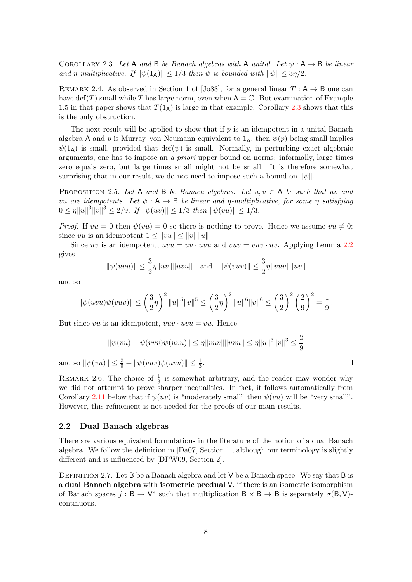<span id="page-7-1"></span>COROLLARY 2.3. Let A and B be Banach algebras with A unital. Let  $\psi : A \rightarrow B$  be linear and η-multiplicative. If  $\|\psi(1_A)\| \leq 1/3$  then  $\psi$  is bounded with  $\|\psi\| \leq 3\eta/2$ .

REMARK 2.4. As observed in Section 1 of [\[Jo88\]](#page-28-0), for a general linear  $T : A \rightarrow B$  one can have def(T) small while T has large norm, even when  $A = \mathbb{C}$ . But examination of Example 1.5 in that paper shows that  $T(1_A)$  is large in that example. Corollary [2.3](#page-7-1) shows that this is the only obstruction.

The next result will be applied to show that if  $p$  is an idempotent in a unital Banach algebra A and p is Murray–von Neumann equivalent to  $1_A$ , then  $\psi(p)$  being small implies  $\psi(1_A)$  is small, provided that def( $\psi$ ) is small. Normally, in perturbing exact algebraic arguments, one has to impose an a priori upper bound on norms: informally, large times zero equals zero, but large times small might not be small. It is therefore somewhat surprising that in our result, we do not need to impose such a bound on  $\|\psi\|$ .

<span id="page-7-3"></span>PROPOSITION 2.5. Let A and B be Banach algebras. Let  $u, v \in A$  be such that uv and vu are idempotents. Let  $\psi : A \rightarrow B$  be linear and  $\eta$ -multiplicative, for some  $\eta$  satisfying  $0 \leq \eta \|u\|^3 \|v\|^3 \leq 2/9$ . If  $\|\psi(uv)\| \leq 1/3$  then  $\|\psi(vu)\| \leq 1/3$ .

*Proof.* If  $vu = 0$  then  $\psi(vu) = 0$  so there is nothing to prove. Hence we assume  $vu \neq 0$ ; since vu is an idempotent  $1 \leq ||vu|| \leq ||v|| ||u||$ .

Since uv is an idempotent,  $uvw = uv \cdot uvu = vuv \cdot uv$ . Applying Lemma [2.2](#page-6-4) gives

$$
\|\psi(uvu)\| \le \frac{3}{2}\eta \|uv\| \|uvu\|
$$
 and  $\|\psi(vuv)\| \le \frac{3}{2}\eta \|vuv\| \|uv\|$ 

and so

$$
\|\psi(uvu)\psi(vuv)\| \le \left(\frac{3}{2}\eta\right)^2 \|u\|^5 \|v\|^5 \le \left(\frac{3}{2}\eta\right)^2 \|u\|^6 \|v\|^6 \le \left(\frac{3}{2}\right)^2 \left(\frac{2}{9}\right)^2 = \frac{1}{9}.
$$

But since vu is an idempotent,  $vuv \cdot uvu = vu$ . Hence

$$
\|\psi(vu) - \psi(vuv)\psi(uvu)\| \le \eta \|vuv\| \|uvu\| \le \eta \|u\|^3 \|v\|^3 \le \frac{2}{9}
$$

 $\Box$ 

and so  $\|\psi(vu)\| \le \frac{2}{9} + \|\psi(vuv)\psi(uvu)\| \le \frac{1}{3}$ .

REMARK 2.6. The choice of  $\frac{1}{3}$  is somewhat arbitrary, and the reader may wonder why we did not attempt to prove sharper inequalities. In fact, it follows automatically from Corollary [2.11](#page-9-2) below that if  $\psi(uv)$  is "moderately small" then  $\psi(vu)$  will be "very small". However, this refinement is not needed for the proofs of our main results.

#### <span id="page-7-0"></span>2.2 Dual Banach algebras

There are various equivalent formulations in the literature of the notion of a dual Banach algebra. We follow the definition in [\[Da07,](#page-27-5) Section 1], although our terminology is slightly different and is influenced by [\[DPW09,](#page-27-6) Section 2].

<span id="page-7-2"></span>DEFINITION 2.7. Let B be a Banach algebra and let V be a Banach space. We say that B is a dual Banach algebra with isometric predual  $V$ , if there is an isometric isomorphism of Banach spaces  $j : \mathsf{B} \to \mathsf{V}^*$  such that multiplication  $\mathsf{B} \times \mathsf{B} \to \mathsf{B}$  is separately  $\sigma(\mathsf{B}, \mathsf{V})$ continuous.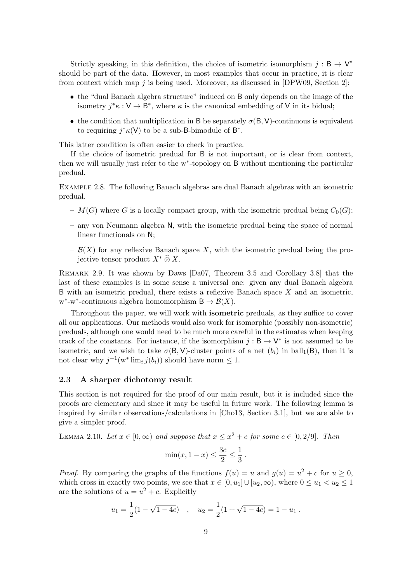Strictly speaking, in this definition, the choice of isometric isomorphism  $j : B \to V^*$ should be part of the data. However, in most examples that occur in practice, it is clear from context which map j is being used. Moreover, as discussed in  $[DPW09, Section 2]$  $[DPW09, Section 2]$ :

- the "dual Banach algebra structure" induced on B only depends on the image of the isometry  $j^* \kappa : V \to B^*$ , where  $\kappa$  is the canonical embedding of V in its bidual;
- the condition that multiplication in B be separately  $\sigma(B, V)$ -continuous is equivalent to requiring  $j^* \kappa(V)$  to be a sub-B-bimodule of  $B^*$ .

This latter condition is often easier to check in practice.

If the choice of isometric predual for B is not important, or is clear from context, then we will usually just refer to the w<sup>∗</sup> -topology on B without mentioning the particular predual.

Example 2.8. The following Banach algebras are dual Banach algebras with an isometric predual.

- $M(G)$  where G is a locally compact group, with the isometric predual being  $C_0(G)$ ;
- any von Neumann algebra N, with the isometric predual being the space of normal linear functionals on N;
- $\mathcal{B}(X)$  for any reflexive Banach space X, with the isometric predual being the projective tensor product  $X^* \widehat{\otimes} X$ .

Remark 2.9. It was shown by Daws [\[Da07,](#page-27-5) Theorem 3.5 and Corollary 3.8] that the last of these examples is in some sense a universal one: given any dual Banach algebra B with an isometric predual, there exists a reflexive Banach space X and an isometric,  $w^*$ -w<sup>\*</sup>-continuous algebra homomorphism  $B \to \mathcal{B}(X)$ .

Throughout the paper, we will work with isometric preduals, as they suffice to cover all our applications. Our methods would also work for isomorphic (possibly non-isometric) preduals, although one would need to be much more careful in the estimates when keeping track of the constants. For instance, if the isomorphism  $j : \mathsf{B} \to \mathsf{V}^*$  is not assumed to be isometric, and we wish to take  $\sigma(B, V)$ -cluster points of a net  $(b_i)$  in ball<sub>1</sub>(B), then it is not clear why  $j^{-1}(w^* \lim_i j(b_i))$  should have norm  $\leq 1$ .

#### <span id="page-8-0"></span>2.3 A sharper dichotomy result

This section is not required for the proof of our main result, but it is included since the proofs are elementary and since it may be useful in future work. The following lemma is inspired by similar observations/calculations in [\[Cho13,](#page-27-1) Section 3.1], but we are able to give a simpler proof.

<span id="page-8-1"></span>LEMMA 2.10. Let  $x \in [0, \infty)$  and suppose that  $x \leq x^2 + c$  for some  $c \in [0, 2/9]$ . Then

$$
\min(x, 1 - x) \le \frac{3c}{2} \le \frac{1}{3} \; .
$$

*Proof.* By comparing the graphs of the functions  $f(u) = u$  and  $g(u) = u^2 + c$  for  $u \ge 0$ , which cross in exactly two points, we see that  $x \in [0, u_1] \cup [u_2, \infty)$ , where  $0 \le u_1 < u_2 \le 1$ are the solutions of  $u = u^2 + c$ . Explicitly

$$
u_1 = \frac{1}{2}(1 - \sqrt{1 - 4c})
$$
,  $u_2 = \frac{1}{2}(1 + \sqrt{1 - 4c}) = 1 - u_1$ .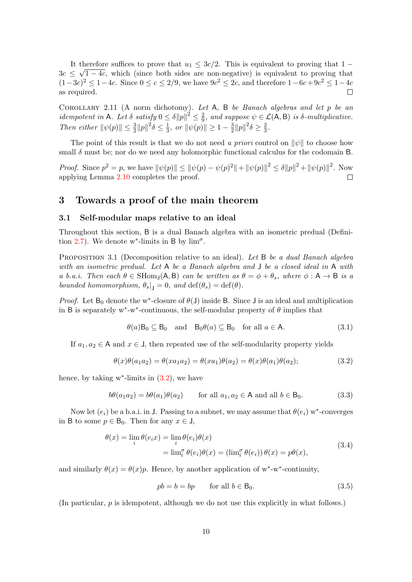It therefore suffices to prove that  $u_1 \leq 3c/2$ . This is equivalent to proving that  $1 3c \leq \sqrt{1-4c}$ , which (since both sides are non-negative) is equivalent to proving that  $(1-3c)^2 \leq 1-4c$ . Since  $0 \leq c \leq 2/9$ , we have  $9c^2 \leq 2c$ , and therefore  $1-6c+9c^2 \leq 1-4c$ as required.  $\Box$ 

<span id="page-9-2"></span>Corollary 2.11 (A norm dichotomy). Let A, B be Banach algebras and let p be an idempotent in A. Let  $\delta$  satisfy  $0 \leq \delta ||p||^2 \leq \frac{2}{9}$  $\frac{2}{9}$ , and suppose  $\psi \in \mathcal{L}(\mathsf{A}, \mathsf{B})$  is  $\delta$ -multiplicative. Then either  $\|\psi(p)\| \leq \frac{3}{2} \|p\|^2 \delta \leq \frac{1}{3}$  $\frac{1}{3}$ , or  $\|\psi(p)\| \geq 1 - \frac{3}{2}$  $\frac{3}{2}||p||^2\delta \geq \frac{2}{3}$  $\frac{2}{3}$ .

The point of this result is that we do not need a priori control on  $\|\psi\|$  to choose how small  $\delta$  must be; nor do we need any holomorphic functional calculus for the codomain B.

*Proof.* Since  $p^2 = p$ , we have  $\|\psi(p)\| \le \|\psi(p) - \psi(p)^2\| + \|\psi(p)\|^2 \le \delta \|p\|^2 + \|\psi(p)\|^2$ . Now applying Lemma [2.10](#page-8-1) completes the proof.  $\overline{\phantom{a}}$ 

## <span id="page-9-0"></span>3 Towards a proof of the main theorem

#### <span id="page-9-1"></span>3.1 Self-modular maps relative to an ideal

Throughout this section, B is a dual Banach algebra with an isometric predual (Defini-tion [2.7\)](#page-7-2). We denote w<sup>\*</sup>-limits in B by  $\lim^{\sigma}$ .

<span id="page-9-8"></span>PROPOSITION 3.1 (Decomposition relative to an ideal). Let B be a dual Banach algebra with an isometric predual. Let A be a Banach algebra and J be a closed ideal in A with a b.a.i. Then each  $\theta \in \text{SHom}_1(A, B)$  can be written as  $\theta = \phi + \theta_s$ , where  $\phi : A \to B$  is a bounded homomorphism,  $\theta_s|_{\mathsf{J}} = 0$ , and  $\text{def}(\theta_s) = \text{def}(\theta)$ .

*Proof.* Let  $B_0$  denote the w<sup>\*</sup>-closure of  $\theta$ (J) inside B. Since J is an ideal and multiplication in B is separately w<sup>\*</sup>-w<sup>\*</sup>-continuous, the self-modular property of  $\theta$  implies that

<span id="page-9-4"></span>
$$
\theta(a)\mathsf{B}_0 \subseteq \mathsf{B}_0 \quad \text{and} \quad \mathsf{B}_0\theta(a) \subseteq \mathsf{B}_0 \quad \text{for all } a \in \mathsf{A}.\tag{3.1}
$$

If  $a_1, a_2 \in A$  and  $x \in J$ , then repeated use of the self-modularity property yields

<span id="page-9-3"></span>
$$
\theta(x)\theta(a_1a_2) = \theta(xa_1a_2) = \theta(xa_1)\theta(a_2) = \theta(x)\theta(a_1)\theta(a_2); \tag{3.2}
$$

hence, by taking  $w^*$ -limits in  $(3.2)$ , we have

<span id="page-9-6"></span>
$$
b\theta(a_1a_2) = b\theta(a_1)\theta(a_2) \qquad \text{for all } a_1, a_2 \in \mathsf{A} \text{ and all } b \in \mathsf{B}_0. \tag{3.3}
$$

Now let  $(e_i)$  be a b.a.i. in J. Passing to a subnet, we may assume that  $\theta(e_i)$  w<sup>\*</sup>-converges in B to some  $p \in B_0$ . Then for any  $x \in J$ ,

<span id="page-9-7"></span>
$$
\theta(x) = \lim_{i} \theta(e_i x) = \lim_{i} \theta(e_i) \theta(x)
$$
  
= 
$$
\lim_{i} \theta(e_i) \theta(x) = (\lim_{i} \theta(e_i)) \theta(x) = p\theta(x),
$$
 (3.4)

and similarly  $\theta(x) = \theta(x)p$ . Hence, by another application of w<sup>\*</sup>-w<sup>\*</sup>-continuity,

<span id="page-9-5"></span>
$$
pb = b = bp \qquad \text{for all } b \in B_0. \tag{3.5}
$$

(In particular,  $p$  is idempotent, although we do not use this explicitly in what follows.)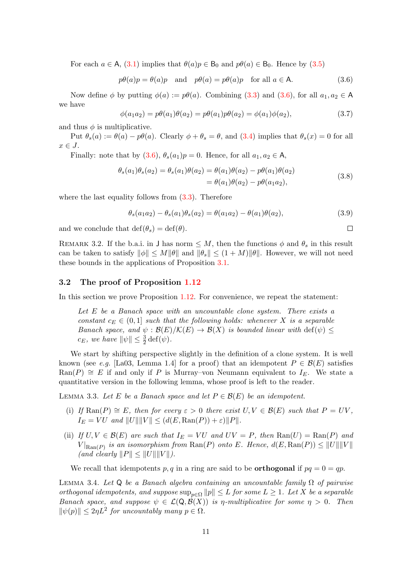For each  $a \in A$ , [\(3.1\)](#page-9-4) implies that  $\theta(a)p \in B_0$  and  $p\theta(a) \in B_0$ . Hence by [\(3.5\)](#page-9-5)

<span id="page-10-1"></span>
$$
p\theta(a)p = \theta(a)p
$$
 and  $p\theta(a) = p\theta(a)p$  for all  $a \in \mathsf{A}$ . (3.6)

Now define  $\phi$  by putting  $\phi(a) := p\theta(a)$ . Combining [\(3.3\)](#page-9-6) and [\(3.6\)](#page-10-1), for all  $a_1, a_2 \in A$ we have

$$
\phi(a_1 a_2) = p\theta(a_1)\theta(a_2) = p\theta(a_1)p\theta(a_2) = \phi(a_1)\phi(a_2),
$$
\n(3.7)

and thus  $\phi$  is multiplicative.

Put  $\theta_s(a) := \theta(a) - p\theta(a)$ . Clearly  $\phi + \theta_s = \theta$ , and [\(3.4\)](#page-9-7) implies that  $\theta_s(x) = 0$  for all  $x \in J$ .

Finally: note that by  $(3.6), \theta_s(a_1)p = 0$  $(3.6), \theta_s(a_1)p = 0$ . Hence, for all  $a_1, a_2 \in A$ ,

$$
\theta_s(a_1)\theta_s(a_2) = \theta_s(a_1)\theta(a_2) = \theta(a_1)\theta(a_2) - p\theta(a_1)\theta(a_2)
$$
  
=  $\theta(a_1)\theta(a_2) - p\theta(a_1a_2)$ , (3.8)

where the last equality follows from  $(3.3)$ . Therefore

$$
\theta_s(a_1 a_2) - \theta_s(a_1) \theta_s(a_2) = \theta(a_1 a_2) - \theta(a_1) \theta(a_2), \tag{3.9}
$$

 $\Box$ 

and we conclude that  $\text{def}(\theta_s) = \text{def}(\theta)$ .

REMARK 3.2. If the b.a.i. in J has norm  $\leq M$ , then the functions  $\phi$  and  $\theta_s$  in this result can be taken to satisfy  $\|\phi\| \le M\|\theta\|$  and  $\|\theta_{s}\| \le (1+M)\|\theta\|$ . However, we will not need these bounds in the applications of Proposition [3.1.](#page-9-8)

#### <span id="page-10-0"></span>3.2 The proof of Proposition [1.12](#page-5-1)

In this section we prove Proposition [1.12.](#page-5-1) For convenience, we repeat the statement:

Let  $E$  be a Banach space with an uncountable clone system. There exists a constant  $c_E \in (0,1]$  such that the following holds: whenever X is a separable Banach space, and  $\psi : \mathcal{B}(E)/\mathcal{K}(E) \to \mathcal{B}(X)$  is bounded linear with  $\text{def}(\psi) \leq$  $c_E$ , we have  $\|\psi\| \leq \frac{3}{2} \det(\psi)$ .

We start by shifting perspective slightly in the definition of a clone system. It is well known (see e.g. [\[La03,](#page-28-12) Lemma 1.4] for a proof) that an idempotent  $P \in \mathcal{B}(E)$  satisfies Ran(P)  $\cong$  E if and only if P is Murray–von Neumann equivalent to I<sub>E</sub>. We state a quantitative version in the following lemma, whose proof is left to the reader.

<span id="page-10-2"></span>LEMMA 3.3. Let E be a Banach space and let  $P \in \mathcal{B}(E)$  be an idempotent.

- (i) If  $\text{Ran}(P) \cong E$ , then for every  $\varepsilon > 0$  there exist  $U, V \in \mathcal{B}(E)$  such that  $P = UV$ ,  $I_E = VU$  and  $||U|| ||V|| < (d(E, \text{Ran}(P)) + \varepsilon) ||P||.$
- (ii) If  $U, V \in \mathcal{B}(E)$  are such that  $I_E = VU$  and  $UV = P$ , then  $\text{Ran}(U) = \text{Ran}(P)$  and  $\|V\|_{\text{Ran}(P)}$  is an isomorphism from  $\text{Ran}(P)$  onto E. Hence,  $d(E, \text{Ran}(P)) \leq \|U\| \|V\|$ (and clearly  $||P|| \leq ||U|| ||V||$ ).

We recall that idempotents p, q in a ring are said to be **orthogonal** if  $pq = 0 = qp$ .

<span id="page-10-3"></span>LEMMA 3.4. Let Q be a Banach algebra containing an uncountable family  $\Omega$  of pairwise orthogonal idempotents, and suppose  $\sup_{p\in\Omega} \|p\| \leq L$  for some  $L \geq 1$ . Let X be a separable Banach space, and suppose  $\psi \in \mathcal{L}(\mathsf{Q}, \mathcal{B}(X))$  is *η*-multiplicative for some  $\eta > 0$ . Then  $\|\psi(p)\| \leq 2\eta L^2$  for uncountably many  $p \in \Omega$ .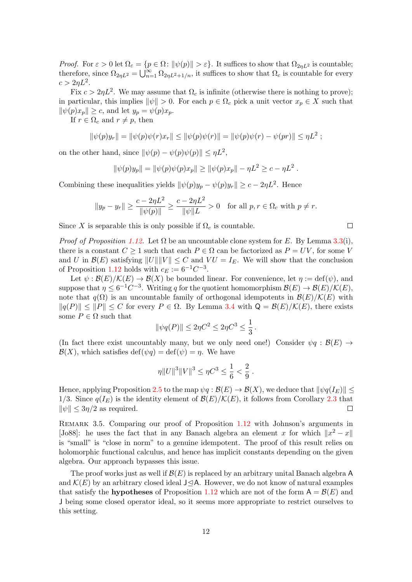*Proof.* For  $\varepsilon > 0$  let  $\Omega_{\varepsilon} = \{p \in \Omega : ||\psi(p)|| > \varepsilon\}$ . It suffices to show that  $\Omega_{2\eta L^2}$  is countable; therefore, since  $\Omega_{2\eta L^2} = \bigcup_{n=1}^{\infty} \Omega_{2\eta L^2 + 1/n}$ , it suffices to show that  $\Omega_c$  is countable for every  $c > 2\eta L^2$ .

Fix  $c > 2\eta L^2$ . We may assume that  $\Omega_c$  is infinite (otherwise there is nothing to prove); in particular, this implies  $\|\psi\| > 0$ . For each  $p \in \Omega_c$  pick a unit vector  $x_p \in X$  such that  $\|\psi(p)x_p\| \geq c$ , and let  $y_p = \psi(p)x_p$ .

If  $r \in \Omega_c$  and  $r \neq p$ , then

$$
\|\psi(p)y_r\| = \|\psi(p)\psi(r)x_r\| \le \|\psi(p)\psi(r)\| = \|\psi(p)\psi(r) - \psi(pr)\| \le \eta L^2 ;
$$

on the other hand, since  $\|\psi(p) - \psi(p)\psi(p)\| \leq \eta L^2$ ,

$$
\|\psi(p)y_p\| = \|\psi(p)\psi(p)x_p\| \ge \|\psi(p)x_p\| - \eta L^2 \ge c - \eta L^2.
$$

Combining these inequalities yields  $\|\psi(p)y_p - \psi(p)y_r\| \ge c - 2\eta L^2$ . Hence

$$
||y_p - y_r|| \ge \frac{c - 2\eta L^2}{||\psi(p)||} \ge \frac{c - 2\eta L^2}{||\psi||L} > 0
$$
 for all  $p, r \in \Omega_c$  with  $p \ne r$ .

 $\Box$ 

Since X is separable this is only possible if  $\Omega_c$  is countable.

*Proof of Proposition [1.12.](#page-5-1)* Let  $\Omega$  be an uncountable clone system for E. By Lemma [3.3\(](#page-10-2)i), there is a constant  $C \geq 1$  such that each  $P \in \Omega$  can be factorized as  $P = UV$ , for some V and U in  $\mathcal{B}(E)$  satisfying  $||U|| ||V|| \leq C$  and  $VU = I_E$ . We will show that the conclusion of Proposition [1.12](#page-5-1) holds with  $c_E := 6^{-1}C^{-3}$ .

Let  $\psi : \mathcal{B}(E)/\mathcal{K}(E) \to \mathcal{B}(X)$  be bounded linear. For convenience, let  $\eta := \text{def}(\psi)$ , and suppose that  $\eta \leq 6^{-1}C^{-3}$ . Writing q for the quotient homomorphism  $\mathcal{B}(E) \to \mathcal{B}(E)/\mathcal{K}(E)$ , note that  $q(\Omega)$  is an uncountable family of orthogonal idempotents in  $\mathcal{B}(E)/\mathcal{K}(E)$  with  $||q(P)|| \leq ||P|| \leq C$  for every  $P \in \Omega$ . By Lemma [3.4](#page-10-3) with  $Q = \mathcal{B}(E)/\mathcal{K}(E)$ , there exists some  $P \in \Omega$  such that

$$
\|\psi q(P)\| \le 2\eta C^2 \le 2\eta C^3 \le \frac{1}{3}.
$$

(In fact there exist uncountably many, but we only need one!) Consider  $\psi q : \mathcal{B}(E) \to$  $\mathcal{B}(X)$ , which satisfies def( $\psi q$ ) = def( $\psi$ ) = *n*. We have

$$
\eta ||U||^3 ||V||^3 \le \eta C^3 \le \frac{1}{6} < \frac{2}{9} .
$$

Hence, applying Proposition [2.5](#page-7-3) to the map  $\psi q : \mathcal{B}(E) \to \mathcal{B}(X)$ , we deduce that  $\|\psi q(I_E)\|$ 1/3. Since  $q(I_E)$  is the identity element of  $\mathcal{B}(E)/\mathcal{K}(E)$ , it follows from Corollary [2.3](#page-7-1) that  $\|\psi\| \leq 3\eta/2$  as required.  $\Box$ 

<span id="page-11-0"></span>REMARK 3.5. Comparing our proof of Proposition [1.12](#page-5-1) with Johnson's arguments in [\[Jo88\]](#page-28-0): he uses the fact that in any Banach algebra an element x for which  $||x^2 - x||$ is "small" is "close in norm" to a genuine idempotent. The proof of this result relies on holomorphic functional calculus, and hence has implicit constants depending on the given algebra. Our approach bypasses this issue.

The proof works just as well if  $\mathcal{B}(E)$  is replaced by an arbitrary unital Banach algebra A and  $\mathcal{K}(E)$  by an arbitrary closed ideal J $\triangleleft$ A. However, we do not know of natural examples that satisfy the **hypotheses** of Proposition [1.12](#page-5-1) which are not of the form  $A = \mathcal{B}(E)$  and J being some closed operator ideal, so it seems more appropriate to restrict ourselves to this setting.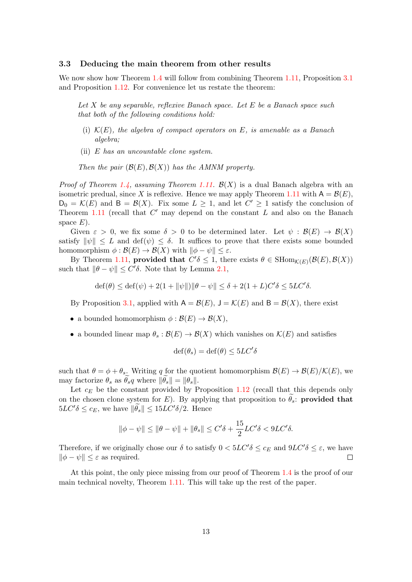#### <span id="page-12-0"></span>3.3 Deducing the main theorem from other results

We now show how Theorem [1.4](#page-3-1) will follow from combining Theorem [1.11,](#page-5-2) Proposition [3.1](#page-9-8) and Proposition [1.12.](#page-5-1) For convenience let us restate the theorem:

Let X be any separable, reflexive Banach space. Let E be a Banach space such that both of the following conditions hold:

- (i)  $\mathcal{K}(E)$ , the algebra of compact operators on E, is amenable as a Banach algebra;
- (ii)  $E$  has an uncountable clone system.

Then the pair  $(\mathcal{B}(E), \mathcal{B}(X))$  has the AMNM property.

*Proof of Theorem [1.4,](#page-3-1) assuming Theorem [1.11.](#page-5-2)*  $\mathcal{B}(X)$  is a dual Banach algebra with an isometric predual, since X is reflexive. Hence we may apply Theorem [1.11](#page-5-2) with  $A = \mathcal{B}(E)$ ,  $D_0 = \mathcal{K}(E)$  and  $B = \mathcal{B}(X)$ . Fix some  $L \geq 1$ , and let  $C' \geq 1$  satisfy the conclusion of Theorem [1.11](#page-5-2) (recall that  $C'$  may depend on the constant  $L$  and also on the Banach space  $E$ ).

Given  $\varepsilon > 0$ , we fix some  $\delta > 0$  to be determined later. Let  $\psi : \mathcal{B}(E) \to \mathcal{B}(X)$ satisfy  $\|\psi\| \leq L$  and  $\text{def}(\psi) \leq \delta$ . It suffices to prove that there exists some bounded homomorphism  $\phi : \mathcal{B}(E) \to \mathcal{B}(X)$  with  $\|\phi - \psi\| \leq \varepsilon$ .

By Theorem [1.11,](#page-5-2) provided that  $C' \delta \leq 1$ , there exists  $\theta \in \text{SHom}_{\mathcal{K}(E)}(\mathcal{B}(E), \mathcal{B}(X))$ such that  $\|\theta - \psi\| \le C' \delta$ . Note that by Lemma [2.1,](#page-6-5)

$$
\operatorname{def}(\theta) \le \operatorname{def}(\psi) + 2(1 + \|\psi\|) \|\theta - \psi\| \le \delta + 2(1 + L)C'\delta \le 5LC'\delta.
$$

By Proposition [3.1,](#page-9-8) applied with  $A = \mathcal{B}(E)$ ,  $J = \mathcal{K}(E)$  and  $B = \mathcal{B}(X)$ , there exist

- a bounded homomorphism  $\phi : \mathcal{B}(E) \to \mathcal{B}(X)$ ,
- a bounded linear map  $\theta_s : \mathcal{B}(E) \to \mathcal{B}(X)$  which vanishes on  $\mathcal{K}(E)$  and satisfies

$$
\operatorname{def}(\theta_s) = \operatorname{def}(\theta) \le 5LC'\delta
$$

such that  $\theta = \phi + \theta_s$ . Writing q for the quotient homomorphism  $\mathcal{B}(E) \to \mathcal{B}(E)/\mathcal{K}(E)$ , we may factorize  $\theta_s$  as  $\theta_s q$  where  $\|\theta_s\| = \|\theta_s\|.$ 

Let  $c_E$  be the constant provided by Proposition [1.12](#page-5-1) (recall that this depends only on the chosen clone system for E). By applying that proposition to  $\theta_s$ : **provided that**  $5LC'\delta \leq c_E$ , we have  $\|\widetilde{\theta}_s\| \leq 15LC'\delta/2$ . Hence

$$
\|\phi - \psi\| \le \|\theta - \psi\| + \|\theta_s\| \le C'\delta + \frac{15}{2}LC'\delta < 9LC'\delta.
$$

Therefore, if we originally chose our  $\delta$  to satisfy  $0 < 5LC'\delta \leq c_E$  and  $9LC'\delta \leq \varepsilon$ , we have  $\|\phi - \psi\| \leq \varepsilon$  as required.  $\Box$ 

At this point, the only piece missing from our proof of Theorem [1.4](#page-3-1) is the proof of our main technical novelty, Theorem [1.11.](#page-5-2) This will take up the rest of the paper.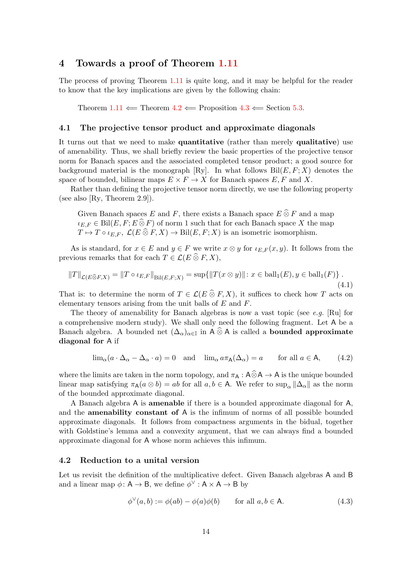### <span id="page-13-0"></span>4 Towards a proof of Theorem [1.11](#page-5-2)

The process of proving Theorem [1.11](#page-5-2) is quite long, and it may be helpful for the reader to know that the key implications are given by the following chain:

Theorem  $1.11 \leftarrow$  $1.11 \leftarrow$  Theorem  $4.2 \leftarrow$  $4.2 \leftarrow$  Proposition  $4.3 \leftarrow$  $4.3 \leftarrow$  Section [5.3.](#page-23-0)

#### <span id="page-13-1"></span>4.1 The projective tensor product and approximate diagonals

It turns out that we need to make quantitative (rather than merely qualitative) use of amenability. Thus, we shall briefly review the basic properties of the projective tensor norm for Banach spaces and the associated completed tensor product; a good source for background material is the monograph [\[Ry\]](#page-28-13). In what follows  $\text{Bil}(E, F; X)$  denotes the space of bounded, bilinear maps  $E \times F \to X$  for Banach spaces E, F and X.

Rather than defining the projective tensor norm directly, we use the following property (see also [\[Ry,](#page-28-13) Theorem 2.9]).

Given Banach spaces E and F, there exists a Banach space  $E \widehat{\otimes} F$  and a map  $\iota_{E,F} \in \text{Bil}(E, F; E \widehat{\otimes} F)$  of norm 1 such that for each Banach space X the map  $T \mapsto T \circ \iota_{E,F}, \mathcal{L}(E \widehat{\otimes} F, X) \to \text{Bil}(E, F; X)$  is an isometric isomorphism.

As is standard, for  $x \in E$  and  $y \in F$  we write  $x \otimes y$  for  $\iota_{E,F}(x, y)$ . It follows from the previous remarks that for each  $T \in \mathcal{L}(E \widehat{\otimes} F, X)$ ,

<span id="page-13-4"></span>
$$
||T||_{\mathcal{L}(E\widehat{\otimes}F,X)} = ||T \circ \iota_{E,F}||_{\text{Bil}(E,F,X)} = \sup \{ ||T(x \otimes y)|| : x \in \text{ball}_1(E), y \in \text{ball}_1(F) \}.
$$
\n(4.1)

That is: to determine the norm of  $T \in \mathcal{L}(E \widehat{\otimes} F, X)$ , it suffices to check how T acts on elementary tensors arising from the unit balls of  $E$  and  $F$ .

The theory of amenability for Banach algebras is now a vast topic (see e.g. [\[Ru\]](#page-28-14) for a comprehensive modern study). We shall only need the following fragment. Let A be a Banach algebra. A bounded net  $(\Delta_{\alpha})_{\alpha \in \mathbb{I}}$  in  $A \otimes A$  is called a **bounded approximate** diagonal for A if

<span id="page-13-5"></span>
$$
\lim_{\alpha} (a \cdot \Delta_{\alpha} - \Delta_{\alpha} \cdot a) = 0 \quad \text{and} \quad \lim_{\alpha} a \pi_{A}(\Delta_{\alpha}) = a \qquad \text{for all } a \in A, \tag{4.2}
$$

where the limits are taken in the norm topology, and  $\pi_A : A \widehat{\otimes} A \to A$  is the unique bounded linear map satisfying  $\pi_A(a \otimes b) = ab$  for all  $a, b \in A$ . We refer to sup<sub> $\alpha$ </sub>  $\|\Delta_\alpha\|$  as the norm of the bounded approximate diagonal.

A Banach algebra A is amenable if there is a bounded approximate diagonal for A, and the amenability constant of A is the infimum of norms of all possible bounded approximate diagonals. It follows from compactness arguments in the bidual, together with Goldstine's lemma and a convexity argument, that we can always find a bounded approximate diagonal for A whose norm achieves this infimum.

#### <span id="page-13-2"></span>4.2 Reduction to a unital version

Let us revisit the definition of the multiplicative defect. Given Banach algebras A and B and a linear map  $\phi: \mathsf{A} \to \mathsf{B}$ , we define  $\phi^{\vee}: \mathsf{A} \times \mathsf{A} \to \mathsf{B}$  by

<span id="page-13-3"></span>
$$
\phi^{\vee}(a,b) := \phi(ab) - \phi(a)\phi(b) \quad \text{for all } a, b \in \mathsf{A}.\tag{4.3}
$$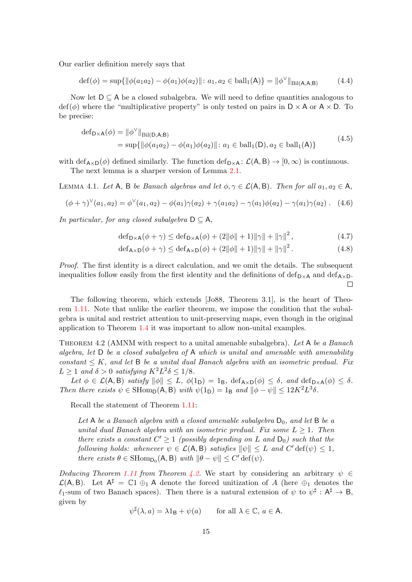Our earlier definition merely says that

$$
\det(\phi) = \sup \{ \|\phi(a_1 a_2) - \phi(a_1)\phi(a_2)\| \colon a_1, a_2 \in \text{ball}_1(\mathsf{A}) \} = \|\phi^{\vee}\|_{\text{Bil}(\mathsf{A},\mathsf{A};\mathsf{B})}
$$
(4.4)

Now let  $D \subseteq A$  be a closed subalgebra. We will need to define quantities analogous to  $\text{def}(\phi)$  where the "multiplicative property" is only tested on pairs in  $D \times A$  or  $A \times D$ . To be precise:

$$
\begin{aligned} \n\text{def}_{\mathsf{D}\times\mathsf{A}}(\phi) &= \|\phi^{\vee}\|_{\text{Bil}(\mathsf{D},\mathsf{A};\mathsf{B})} \\
&= \sup\{\|\phi(a_1a_2) - \phi(a_1)\phi(a_2)\| \colon a_1 \in \text{ball}_1(\mathsf{D}), a_2 \in \text{ball}_1(\mathsf{A})\} \n\end{aligned} \tag{4.5}
$$

with def<sub>A×D</sub>( $\phi$ ) defined similarly. The function def<sub>D×A</sub>:  $\mathcal{L}(A, B) \rightarrow [0, \infty)$  is continuous. The next lemma is a sharper version of Lemma [2.1.](#page-6-5)

<span id="page-14-1"></span>LEMMA 4.1. Let A, B be Banach algebras and let  $\phi, \gamma \in \mathcal{L}(A, B)$ . Then for all  $a_1, a_2 \in A$ ,

<span id="page-14-2"></span>
$$
(\phi + \gamma)^{\vee}(a_1, a_2) = \phi^{\vee}(a_1, a_2) - \phi(a_1)\gamma(a_2) + \gamma(a_1a_2) - \gamma(a_1)\phi(a_2) - \gamma(a_1)\gamma(a_2).
$$
 (4.6)

In particular, for any closed subalgebra  $D \subseteq A$ ,

$$
\operatorname{def}_{\mathsf{D}\times\mathsf{A}}(\phi+\gamma) \le \operatorname{def}_{\mathsf{D}\times\mathsf{A}}(\phi) + (2\|\phi\|+1)\|\gamma\| + \|\gamma\|^2,\tag{4.7}
$$

$$
\operatorname{def}_{\mathsf{A}\times\mathsf{D}}(\phi+\gamma) \le \operatorname{def}_{\mathsf{A}\times\mathsf{D}}(\phi) + (2\|\phi\|+1)\|\gamma\| + \|\gamma\|^2. \tag{4.8}
$$

Proof. The first identity is a direct calculation, and we omit the details. The subsequent inequalities follow easily from the first identity and the definitions of def<sub>D×A</sub> and def<sub>A×D</sub>.  $\Box$ 

The following theorem, which extends [\[Jo88,](#page-28-0) Theorem 3.1], is the heart of Theorem [1.11.](#page-5-2) Note that unlike the earlier theorem, we impose the condition that the subalgebra is unital and restrict attention to unit-preserving maps, even though in the original application to Theorem [1.4](#page-3-1) it was important to allow non-unital examples.

<span id="page-14-0"></span>THEOREM 4.2 (AMNM with respect to a unital amenable subalgebra). Let A be a Banach algebra, let  $D$  be a closed subalgebra of  $A$  which is unital and amenable with amenability constant  $\leq K$ , and let B be a unital dual Banach algebra with an isometric predual. Fix  $L \geq 1$  and  $\delta > 0$  satisfying  $K^2L^2\delta \leq 1/8$ .

Let  $\phi \in \mathcal{L}(\mathsf{A}, \mathsf{B})$  satisfy  $\|\phi\| \leq L$ ,  $\phi(1_{\mathsf{D}}) = 1_{\mathsf{B}}$ ,  $\text{def}_{\mathsf{A}\times\mathsf{D}}(\phi) \leq \delta$ , and  $\text{def}_{\mathsf{D}\times\mathsf{A}}(\phi) \leq \delta$ . Then there exists  $\psi \in \text{SHom}_D(\mathsf{A}, \mathsf{B})$  with  $\psi(1_D) = 1_B$  and  $\|\phi - \psi\| \leq 12K^2L^3\delta$ .

Recall the statement of Theorem [1.11:](#page-5-2)

Let A be a Banach algebra with a closed amenable subalgebra  $D_0$ , and let B be a unital dual Banach algebra with an isometric predual. Fix some  $L \geq 1$ . Then there exists a constant  $C' \geq 1$  (possibly depending on L and  $D_0$ ) such that the following holds: whenever  $\psi \in \mathcal{L}(A, B)$  satisfies  $\|\psi\| \leq L$  and  $C'$  def $(\psi) \leq 1$ , there exists  $\theta \in \text{SHomp}_0(\mathsf{A}, \mathsf{B})$  with  $\|\theta - \psi\| \le C' \text{def}(\psi)$ .

Deducing Theorem [1.11](#page-5-2) from Theorem [4.2.](#page-14-0) We start by considering an arbitrary  $\psi \in$  $\mathcal{L}(A, B)$ . Let  $A^{\sharp} = \mathbb{C}1 \oplus A$  denote the forced unitization of A (here  $\oplus_1$  denotes the  $\ell_1$ -sum of two Banach spaces). Then there is a natural extension of  $\psi$  to  $\psi^{\sharp} : A^{\sharp} \to B$ , given by

$$
\psi^{\sharp}(\lambda, a) = \lambda 1_{\mathsf{B}} + \psi(a) \quad \text{for all } \lambda \in \mathbb{C}, a \in \mathsf{A}.
$$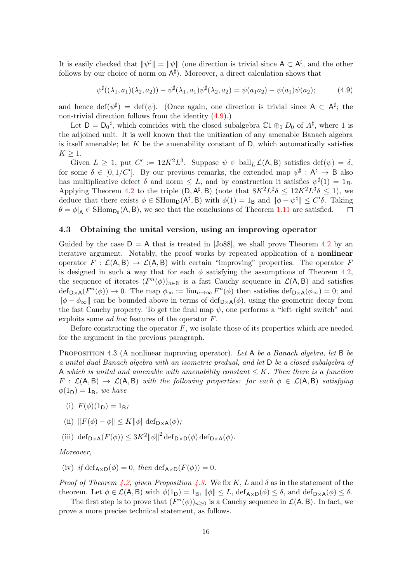It is easily checked that  $\|\psi^{\sharp}\| = \|\psi\|$  (one direction is trivial since  $A \subset A^{\sharp}$ , and the other follows by our choice of norm on  $A^{\sharp}$ ). Moreover, a direct calculation shows that

<span id="page-15-2"></span>
$$
\psi^{\sharp}((\lambda_1, a_1)(\lambda_2, a_2)) - \psi^{\sharp}(\lambda_1, a_1)\psi^{\sharp}(\lambda_2, a_2) = \psi(a_1 a_2) - \psi(a_1)\psi(a_2); \tag{4.9}
$$

and hence  $\det(\psi^{\sharp}) = \det(\psi)$ . (Once again, one direction is trivial since  $A \subset A^{\sharp}$ ; the non-trivial direction follows from the identity  $(4.9)$ .)

Let  $D = D_0^{\sharp}$ , which coincides with the closed subalgebra  $C_1 \oplus_1 D_0$  of  $A^{\sharp}$ , where 1 is the adjoined unit. It is well known that the unitization of any amenable Banach algebra is itself amenable; let  $K$  be the amenability constant of  $D$ , which automatically satisfies  $K \geq 1$ .

Given  $L \geq 1$ , put  $C' := 12K^2L^3$ . Suppose  $\psi \in \text{ball}_L \mathcal{L}(\mathsf{A}, \mathsf{B})$  satisfies  $\text{def}(\psi) = \delta$ , for some  $\delta \in [0, 1/C']$ . By our previous remarks, the extended map  $\psi^{\sharp} : A^{\sharp} \to B$  also has multiplicative defect  $\delta$  and norm  $\leq L$ , and by construction it satisfies  $\psi^{\sharp}(1) = 1_B$ . Applying Theorem [4.2](#page-14-0) to the triple  $(D, A^{\sharp}, B)$  (note that  $8K^2L^2\delta \leq 12K^2L^3\delta \leq 1$ ), we deduce that there exists  $\phi \in \text{SHom}_{\mathsf{D}}(\mathsf{A}^{\sharp}, \mathsf{B})$  with  $\phi(1) = 1_{\mathsf{B}}$  and  $\|\phi - \psi^{\sharp}\| \leq C' \delta$ . Taking  $\theta = \phi|_{\mathsf{A}} \in \mathrm{SHomp}_0(\mathsf{A}, \mathsf{B})$ , we see that the conclusions of Theorem [1.11](#page-5-2) are satisfied.  $\Box$ 

#### <span id="page-15-0"></span>4.3 Obtaining the unital version, using an improving operator

Guided by the case  $D = A$  that is treated in [\[Jo88\]](#page-28-0), we shall prove Theorem [4.2](#page-14-0) by an iterative argument. Notably, the proof works by repeated application of a nonlinear operator  $F : \mathcal{L}(A, B) \to \mathcal{L}(A, B)$  with certain "improving" properties. The operator F is designed in such a way that for each  $\phi$  satisfying the assumptions of Theorem [4.2,](#page-14-0) the sequence of iterates  $(F^n(\phi))_{n\in\mathbb{N}}$  is a fast Cauchy sequence in  $\mathcal{L}(A, B)$  and satisfies  $\det_{\mathsf{D}\times\mathsf{A}}(F^n(\phi))\to 0$ . The map  $\phi_{\infty}:=\lim_{n\to\infty}F^n(\phi)$  then satisfies  $\det_{\mathsf{D}\times\mathsf{A}}(\phi_{\infty})=0$ ; and  $\|\phi - \phi_{\infty}\|$  can be bounded above in terms of  $\text{def}_{D\times A}(\phi)$ , using the geometric decay from the fast Cauchy property. To get the final map  $\psi$ , one performs a "left-right switch" and exploits some ad hoc features of the operator F.

Before constructing the operator  $F$ , we isolate those of its properties which are needed for the argument in the previous paragraph.

<span id="page-15-1"></span>PROPOSITION 4.3 (A nonlinear improving operator). Let A be a Banach algebra, let B be a unital dual Banach algebra with an isometric predual, and let D be a closed subalgebra of A which is unital and amenable with amenability constant  $\leq K$ . Then there is a function  $F : \mathcal{L}(A, B) \to \mathcal{L}(A, B)$  with the following properties: for each  $\phi \in \mathcal{L}(A, B)$  satisfying  $\phi(1_D) = 1_B$ , we have

- <span id="page-15-3"></span>(i)  $F(\phi)(1_D) = 1_B$ ;
- <span id="page-15-4"></span>(ii)  $||F(\phi) - \phi|| \leq K ||\phi|| \deg_{\mathsf{D} \times \mathsf{A}}(\phi);$

<span id="page-15-5"></span>(iii)  $\det_{\mathsf{D}\times\mathsf{A}}(F(\phi)) \leq 3K^2 ||\phi||^2 \det_{\mathsf{D}\times\mathsf{D}}(\phi) \det_{\mathsf{D}\times\mathsf{A}}(\phi)$ .

Moreover,

<span id="page-15-6"></span>(iv) if  $\text{def}_{\mathbf{A}\times\mathbf{D}}(\phi) = 0$ , then  $\text{def}_{\mathbf{A}\times\mathbf{D}}(F(\phi)) = 0$ .

*Proof of Theorem [4.2,](#page-14-0) given Proposition [4.3.](#page-15-1)* We fix K, L and  $\delta$  as in the statement of the theorem. Let  $\phi \in \mathcal{L}(\mathsf{A}, \mathsf{B})$  with  $\phi(1_{\mathsf{D}}) = 1_{\mathsf{B}}$ ,  $\|\phi\| \leq L$ , def<sub>A×D</sub> $(\phi) \leq \delta$ , and def<sub>D×A</sub> $(\phi) \leq \delta$ .

The first step is to prove that  $(F^n(\phi))_{n\geq 0}$  is a Cauchy sequence in  $\mathcal{L}(\mathsf{A}, \mathsf{B})$ . In fact, we prove a more precise technical statement, as follows.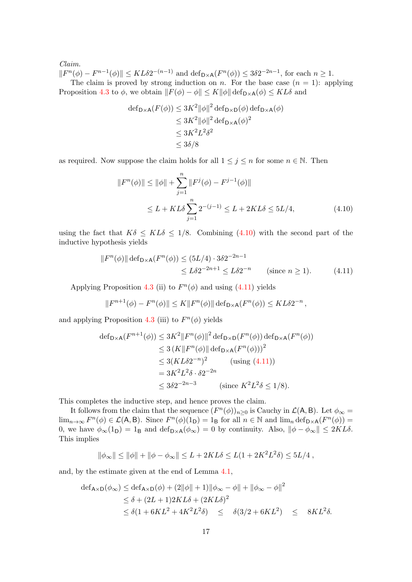#### Claim.

 $||F^n(\phi) - F^{n-1}(\phi)|| \le KL\delta 2^{-(n-1)}$  and  $\text{def}_{D \times A}(F^n(\phi)) \le 3\delta 2^{-2n-1}$ , for each  $n \ge 1$ . The claim is proved by strong induction on n. For the base case  $(n = 1)$ : applying Proposition [4.3](#page-15-1) to  $\phi$ , we obtain  $||F(\phi) - \phi|| \leq K ||\phi|| \operatorname{def}_{D \times A}(\phi) \leq KL\delta$  and

$$
\begin{aligned} \n\text{def}_{\mathsf{D}\times\mathsf{A}}(F(\phi)) &\leq 3K^2 \|\phi\|^2 \operatorname{def}_{\mathsf{D}\times\mathsf{D}}(\phi) \operatorname{def}_{\mathsf{D}\times\mathsf{A}}(\phi) \\ \n&\leq 3K^2 \|\phi\|^2 \operatorname{def}_{\mathsf{D}\times\mathsf{A}}(\phi)^2 \\ \n&\leq 3K^2 L^2 \delta^2 \\ \n&\leq 3\delta/8 \n\end{aligned}
$$

as required. Now suppose the claim holds for all  $1 \leq j \leq n$  for some  $n \in \mathbb{N}$ . Then

<span id="page-16-0"></span>
$$
||F^n(\phi)|| \le ||\phi|| + \sum_{j=1}^n ||F^j(\phi) - F^{j-1}(\phi)||
$$
  
\n
$$
\le L + KL\delta \sum_{j=1}^n 2^{-(j-1)} \le L + 2KL\delta \le 5L/4,
$$
\n(4.10)

using the fact that  $K\delta \leq KL\delta \leq 1/8$ . Combining [\(4.10\)](#page-16-0) with the second part of the inductive hypothesis yields

$$
||F^n(\phi)|| \operatorname{def}_{D \times A}(F^n(\phi)) \le (5L/4) \cdot 3\delta 2^{-2n-1}
$$
  

$$
\le L\delta 2^{-2n+1} \le L\delta 2^{-n} \qquad \text{(since } n \ge 1\text{)}.
$$
 (4.11)

Applying Proposition [4.3](#page-15-1) (ii) to  $F<sup>n</sup>(\phi)$  and using [\(4.11\)](#page-16-1) yields

<span id="page-16-1"></span>
$$
||F^{n+1}(\phi) - F^n(\phi)|| \le K||F^n(\phi)|| \operatorname{def}_{D \times A}(F^n(\phi)) \le KL\delta 2^{-n},
$$

and applying Proposition [4.3](#page-15-1) (iii) to  $F<sup>n</sup>(\phi)$  yields

$$
\begin{aligned} \n\text{def}_{\mathsf{D}\times\mathsf{A}}(F^{n+1}(\phi)) &\leq 3K^2 \|F^n(\phi)\|^2 \operatorname{def}_{\mathsf{D}\times\mathsf{D}}(F^n(\phi)) \operatorname{def}_{\mathsf{D}\times\mathsf{A}}(F^n(\phi)) \\ \n&\leq 3 \left( K \|F^n(\phi)\| \operatorname{def}_{\mathsf{D}\times\mathsf{A}}(F^n(\phi)) \right)^2 \\ \n&\leq 3 (KL\delta 2^{-n})^2 \qquad \text{(using (4.11))} \\ \n&= 3K^2 L^2 \delta \cdot \delta 2^{-2n} \\ \n&\leq 3\delta 2^{-2n-3} \qquad \text{(since } K^2 L^2 \delta \leq 1/8). \n\end{aligned}
$$

This completes the inductive step, and hence proves the claim.

It follows from the claim that the sequence  $(F^n(\phi))_{n\geq 0}$  is Cauchy in  $\mathcal{L}(\mathsf{A}, \mathsf{B})$ . Let  $\phi_{\infty} =$  $\lim_{n\to\infty} F^n(\phi) \in \mathcal{L}(\mathsf{A},\mathsf{B})$ . Since  $F^n(\phi)(1_{\mathsf{D}}) = 1_{\mathsf{B}}$  for all  $n \in \mathbb{N}$  and  $\lim_n \text{def}_{\mathsf{D}\times\mathsf{A}}(F^n(\phi)) =$ 0, we have  $\phi_{\infty}(1_{D}) = 1_{B}$  and  $\text{def}_{D \times A}(\phi_{\infty}) = 0$  by continuity. Also,  $\|\phi - \phi_{\infty}\| \leq 2KL\delta$ . This implies

$$
\|\phi_{\infty}\| \le \|\phi\| + \|\phi - \phi_{\infty}\| \le L + 2KL\delta \le L(1 + 2K^2L^2\delta) \le 5L/4,
$$

and, by the estimate given at the end of Lemma [4.1,](#page-14-1)

$$
\begin{aligned} \n\text{def}_{\mathsf{A}\times\mathsf{D}}(\phi_{\infty}) &\leq \text{def}_{\mathsf{A}\times\mathsf{D}}(\phi) + (2\|\phi\| + 1)\|\phi_{\infty} - \phi\| + \|\phi_{\infty} - \phi\|^2 \\ \n&\leq \delta + (2L + 1)2KL\delta + (2KL\delta)^2 \\ \n&\leq \delta(1 + 6KL^2 + 4K^2L^2\delta) \quad \leq \quad \delta(3/2 + 6KL^2) \quad \leq \quad 8KL^2\delta. \n\end{aligned}
$$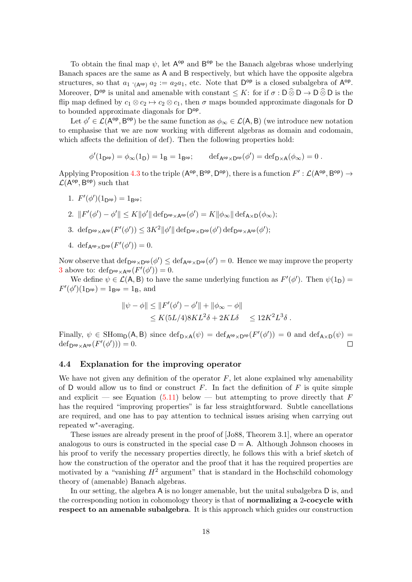To obtain the final map  $\psi$ , let  $A^{\text{op}}$  and  $B^{\text{op}}$  be the Banach algebras whose underlying Banach spaces are the same as A and B respectively, but which have the opposite algebra structures, so that  $a_1 \cdot_{(A^{op})} a_2 := a_2 a_1$ , etc. Note that  $D^{op}$  is a closed subalgebra of  $A^{op}$ . Moreover,  $D^{op}$  is unital and amenable with constant  $\leq K$ : for if  $\sigma : D \widehat{\otimes} D \to D \widehat{\otimes} D$  is the flip map defined by  $c_1 \otimes c_2 \mapsto c_2 \otimes c_1$ , then  $\sigma$  maps bounded approximate diagonals for D to bounded approximate diagonals for  $\mathsf{D}^{\mathsf{op}}$ .

Let  $\phi' \in \mathcal{L}(A^{\text{op}}, B^{\text{op}})$  be the same function as  $\phi_{\infty} \in \mathcal{L}(A, B)$  (we introduce new notation to emphasise that we are now working with different algebras as domain and codomain, which affects the definition of def). Then the following properties hold:

 $\phi'(1_{\mathsf{D}^{\mathsf{op}}}) = \phi_{\infty}(1_{\mathsf{D}}) = 1_{\mathsf{B}} = 1_{\mathsf{B}^{\mathsf{op}}}; \qquad \mathrm{def}_{\mathsf{A}^{\mathsf{op}} \times \mathsf{D}^{\mathsf{op}}}(\phi') = \mathrm{def}_{\mathsf{D} \times \mathsf{A}}(\phi_{\infty}) = 0.$ 

Applying Proposition [4.3](#page-15-1) to the triple  $(A^{op}, B^{op}, D^{op})$ , there is a function  $F': \mathcal{L}(A^{op}, B^{op}) \to$  $\mathcal{L}(A^{\text{op}}, B^{\text{op}})$  such that

1. 
$$
F'(\phi')(1_{D^{op}}) = 1_{B^{op}};
$$

2.  $||F'(\phi') - \phi'|| \leq K ||\phi'|| \operatorname{def}_{\mathsf{D}^{\mathrm{op}} \times \mathsf{A}^{\mathrm{op}}}(\phi') = K ||\phi_{\infty}|| \operatorname{def}_{\mathsf{A} \times \mathsf{D}}(\phi_{\infty});$ 

- <span id="page-17-1"></span>3. def<sub>D</sub>op<sub>×A</sub>op $(F'(\phi')) \leq 3K^2 ||\phi'|| \text{ def}_{D^{op} \times D^{op}}(\phi') \text{ def}_{D^{op} \times A^{op}}(\phi');$
- 4. def<sub>A</sub>op<sub>×D</sub>op $(F'(\phi'))=0$ .

Now observe that  $\det_{\mathsf{D}^{\mathrm{op}}\times\mathsf{D}^{\mathrm{op}}}(\phi') \leq \det_{\mathsf{A}^{\mathrm{op}}\times\mathsf{D}^{\mathrm{op}}}(\phi') = 0$ . Hence we may improve the property [3](#page-17-1) above to:  $\text{def}_{D^{\text{op}} \times A^{\text{op}}}(F'(\phi')) = 0.$ 

We define  $\psi \in \mathcal{L}(\mathsf{A}, \mathsf{B})$  to have the same underlying function as  $F'(\phi')$ . Then  $\psi(1_{\mathsf{D}})$  =  $F'(\phi')(1_{D^{op}}) = 1_{B^{op}} = 1_B$ , and

$$
\begin{aligned} \|\psi - \phi\| &\le \|F'(\phi') - \phi'\| + \|\phi_\infty - \phi\| \\ &\le K(5L/4)8KL^2\delta + 2KL\delta \quad \le 12K^2L^3\delta \,. \end{aligned}
$$

Finally,  $\psi \in \text{SHom}_{\mathsf{D}}(\mathsf{A}, \mathsf{B})$  since  $\text{def}_{\mathsf{D}\times\mathsf{A}}(\psi) = \text{def}_{\mathsf{A}^{\text{op}}\times\mathsf{D}^{\text{op}}}(F'(\phi')) = 0$  and  $\text{def}_{\mathsf{A}\times\mathsf{D}}(\psi) =$  $\text{def}_{\mathsf{D}^{\text{op}}\times\mathsf{A}^{\text{op}}}(F'(\phi'))=0.$  $\Box$ 

#### <span id="page-17-0"></span>4.4 Explanation for the improving operator

We have not given any definition of the operator  $F$ , let alone explained why amenability of D would allow us to find or construct  $F$ . In fact the definition of  $F$  is quite simple and explicit — see Equation  $(5.11)$  below — but attempting to prove directly that F has the required "improving properties" is far less straightforward. Subtle cancellations are required, and one has to pay attention to technical issues arising when carrying out repeated w<sup>∗</sup> -averaging.

These issues are already present in the proof of [\[Jo88,](#page-28-0) Theorem 3.1], where an operator analogous to ours is constructed in the special case  $D = A$ . Although Johnson chooses in his proof to verify the necessary properties directly, he follows this with a brief sketch of how the construction of the operator and the proof that it has the required properties are motivated by a "vanishing  $H^2$  argument" that is standard in the Hochschild cohomology theory of (amenable) Banach algebras.

In our setting, the algebra A is no longer amenable, but the unital subalgebra D is, and the corresponding notion in cohomology theory is that of **normalizing a 2-cocycle with** respect to an amenable subalgebra. It is this approach which guides our construction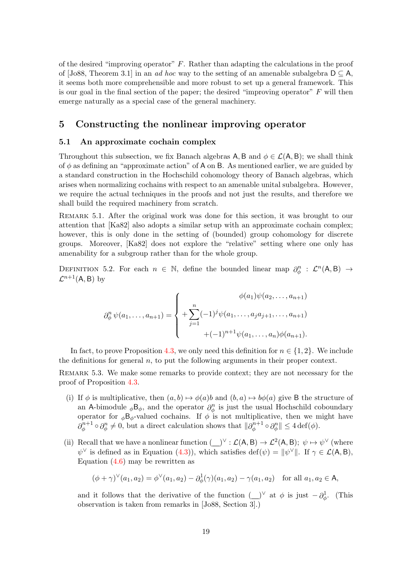of the desired "improving operator"  $F$ . Rather than adapting the calculations in the proof of [\[Jo88,](#page-28-0) Theorem 3.1] in an ad hoc way to the setting of an amenable subalgebra  $D \subseteq A$ , it seems both more comprehensible and more robust to set up a general framework. This is our goal in the final section of the paper; the desired "improving operator"  $F$  will then emerge naturally as a special case of the general machinery.

# <span id="page-18-0"></span>5 Constructing the nonlinear improving operator

#### <span id="page-18-1"></span>5.1 An approximate cochain complex

Throughout this subsection, we fix Banach algebras A, B and  $\phi \in \mathcal{L}(A, B)$ ; we shall think of  $\phi$  as defining an "approximate action" of A on B. As mentioned earlier, we are guided by a standard construction in the Hochschild cohomology theory of Banach algebras, which arises when normalizing cochains with respect to an amenable unital subalgebra. However, we require the actual techniques in the proofs and not just the results, and therefore we shall build the required machinery from scratch.

Remark 5.1. After the original work was done for this section, it was brought to our attention that [\[Ka82\]](#page-28-15) also adopts a similar setup with an approximate cochain complex; however, this is only done in the setting of (bounded) group cohomology for discrete groups. Moreover, [\[Ka82\]](#page-28-15) does not explore the "relative" setting where one only has amenability for a subgroup rather than for the whole group.

DEFINITION 5.2. For each  $n \in \mathbb{N}$ , define the bounded linear map  $\partial_{\phi}^{n} : \mathcal{L}^{n}(A, B) \rightarrow$  $\mathcal{L}^{n+1}(\mathsf{A},\mathsf{B})$  by

$$
\partial_{\phi}^{n} \psi(a_1, \dots, a_{n+1}) = \begin{cases} \phi(a_1) \psi(a_2, \dots, a_{n+1}) \\ + \sum_{j=1}^{n} (-1)^j \psi(a_1, \dots, a_j a_{j+1}, \dots, a_{n+1}) \\ + (-1)^{n+1} \psi(a_1, \dots, a_n) \phi(a_{n+1}). \end{cases}
$$

In fact, to prove Proposition [4.3,](#page-15-1) we only need this definition for  $n \in \{1, 2\}$ . We include the definitions for general  $n$ , to put the following arguments in their proper context.

Remark 5.3. We make some remarks to provide context; they are not necessary for the proof of Proposition [4.3.](#page-15-1)

- (i) If  $\phi$  is multiplicative, then  $(a, b) \mapsto \phi(a)b$  and  $(b, a) \mapsto b\phi(a)$  give B the structure of an A-bimodule  $_{\phi}B_{\phi}$ , and the operator  $\partial_{\phi}^{n}$  is just the usual Hochschild coboundary operator for  $_{\phi}B_{\phi}$ -valued cochains. If  $\phi$  is not multiplicative, then we might have  $\partial^{n+1}_{\phi}$  $\partial_{\phi}^{n+1} \circ \partial_{\phi}^{n} \neq 0$ , but a direct calculation shows that  $||\partial_{\phi}^{n+1}||$  $\partial_{\phi}^{n+1} \circ \partial_{\phi}^{n} \| \leq 4 \det(\phi).$
- (ii) Recall that we have a nonlinear function  $(\_)^\vee : \mathcal{L}(A, B) \to \mathcal{L}^2(A, B); \ \psi \mapsto \psi^\vee$  (where  $\psi^{\vee}$  is defined as in Equation [\(4.3\)](#page-13-3)), which satisfies def( $\psi$ ) =  $\|\psi^{\vee}\|$ . If  $\gamma \in \mathcal{L}(\mathsf{A}, \mathsf{B})$ , Equation [\(4.6\)](#page-14-2) may be rewritten as

$$
(\phi + \gamma)^{\vee}(a_1, a_2) = \phi^{\vee}(a_1, a_2) - \partial_{\phi}^{1}(\gamma)(a_1, a_2) - \gamma(a_1, a_2) \text{ for all } a_1, a_2 \in \mathsf{A},
$$

and it follows that the derivative of the function  $(\_)^\vee$  at  $\phi$  is just  $-\partial^1_\phi$ . (This observation is taken from remarks in [\[Jo88,](#page-28-0) Section 3].)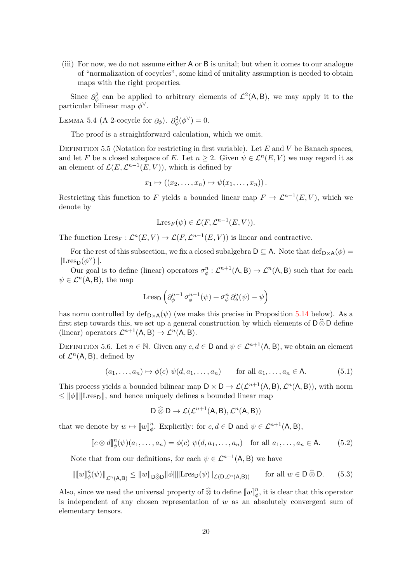(iii) For now, we do not assume either A or B is unital; but when it comes to our analogue of "normalization of cocycles", some kind of unitality assumption is needed to obtain maps with the right properties.

Since  $\partial_{\phi}^{2}$  can be applied to arbitrary elements of  $\mathcal{L}^{2}(\mathsf{A},\mathsf{B})$ , we may apply it to the particular bilinear map  $\phi^{\vee}$ .

<span id="page-19-1"></span>LEMMA 5.4 (A 2-cocycle for  $\partial_{\phi}$ ).  $\partial_{\phi}^{2}(\phi^{\vee}) = 0$ .

The proof is a straightforward calculation, which we omit.

DEFINITION 5.5 (Notation for restricting in first variable). Let  $E$  and  $V$  be Banach spaces, and let F be a closed subspace of E. Let  $n \geq 2$ . Given  $\psi \in \mathcal{L}^n(E, V)$  we may regard it as an element of  $\mathcal{L}(E, \mathcal{L}^{n-1}(E, V))$ , which is defined by

$$
x_1 \mapsto ((x_2, \ldots, x_n) \mapsto \psi(x_1, \ldots, x_n)).
$$

Restricting this function to F yields a bounded linear map  $F \to \mathcal{L}^{n-1}(E, V)$ , which we denote by

$$
\mathrm{Lres}_F(\psi) \in \mathcal{L}(F, \mathcal{L}^{n-1}(E, V)).
$$

The function  $Lres_F: \mathcal{L}^n(E, V) \to \mathcal{L}(F, \mathcal{L}^{n-1}(E, V))$  is linear and contractive.

For the rest of this subsection, we fix a closed subalgebra  $D \subseteq A$ . Note that  $def_{D \times A}(\phi) =$  $\|\text{Lres}_D(\phi^\vee)\|.$ 

Our goal is to define (linear) operators  $\sigma_{\phi}^n : \mathcal{L}^{n+1}(\mathsf{A}, \mathsf{B}) \to \mathcal{L}^n(\mathsf{A}, \mathsf{B})$  such that for each  $\psi \in \mathcal{L}^n(\mathsf{A}, \mathsf{B}),$  the map

$$
\mathrm{Lres}_{\mathsf{D}} \left( \partial_{\phi}^{n-1} \, \sigma_{\phi}^{n-1}(\psi) + \sigma_{\phi}^n \, \partial_{\phi}^n(\psi) - \psi \right)
$$

has norm controlled by  $\text{def}_{D\times A}(\psi)$  (we make this precise in Proposition [5.14](#page-22-0) below). As a first step towards this, we set up a general construction by which elements of  $\mathsf{D}\widehat{\otimes}\mathsf{D}$  define (linear) operators  $\mathcal{L}^{n+1}(\mathsf{A}, \mathsf{B}) \to \mathcal{L}^n(\mathsf{A}, \mathsf{B}).$ 

DEFINITION 5.6. Let  $n \in \mathbb{N}$ . Given any  $c, d \in \mathbb{D}$  and  $\psi \in \mathcal{L}^{n+1}(\mathsf{A}, \mathsf{B})$ , we obtain an element of  $\mathcal{L}^n(\mathsf{A}, \mathsf{B})$ , defined by

$$
(a_1, \ldots, a_n) \mapsto \phi(c) \; \psi(d, a_1, \ldots, a_n) \qquad \text{for all } a_1, \ldots, a_n \in \mathsf{A}.\tag{5.1}
$$

This process yields a bounded bilinear map  $D \times D \to \mathcal{L}(\mathcal{L}^{n+1}(A, B), \mathcal{L}^n(A, B))$ , with norm  $\leq ||\phi|| ||$ Lres<sub>D</sub> $||$ , and hence uniquely defines a bounded linear map

$$
D\mathbin{\widehat{\otimes}} D\to \mathcal{L}(\mathcal{L}^{n+1}(A,B),\mathcal{L}^n(A,B))
$$

that we denote by  $w \mapsto [w]_{\phi}^n$ . Explicitly: for  $c, d \in \mathsf{D}$  and  $\psi \in \mathcal{L}^{n+1}(\mathsf{A}, \mathsf{B})$ ,

$$
[c \otimes d]^n_{\phi}(\psi)(a_1, \dots, a_n) = \phi(c) \ \psi(d, a_1, \dots, a_n) \quad \text{for all } a_1, \dots, a_n \in \mathsf{A}.
$$
 (5.2)

Note that from our definitions, for each  $\psi \in \mathcal{L}^{n+1}(\mathsf{A}, \mathsf{B})$  we have

<span id="page-19-0"></span>
$$
\|\llbracket w \rrbracket_{\phi}^{n}(\psi)\|_{\mathcal{L}^{n}(\mathsf{A},\mathsf{B})} \le \|w\|_{\mathsf{D}\widehat{\otimes}\mathsf{D}} \|\phi\|\|\text{Lres}_{\mathsf{D}}(\psi)\|_{\mathcal{L}(\mathsf{D},\mathcal{L}^{n}(\mathsf{A},\mathsf{B}))} \qquad \text{for all } w \in \mathsf{D}\,\widehat{\otimes}\,\mathsf{D}.\tag{5.3}
$$

Also, since we used the universal property of  $\widehat{\otimes}$  to define  $[\![w]\!]_{\phi}^n$ , it is clear that this operator is independent of any chosen representation of  $w$  as an absolutely convergent sum of elementary tensors.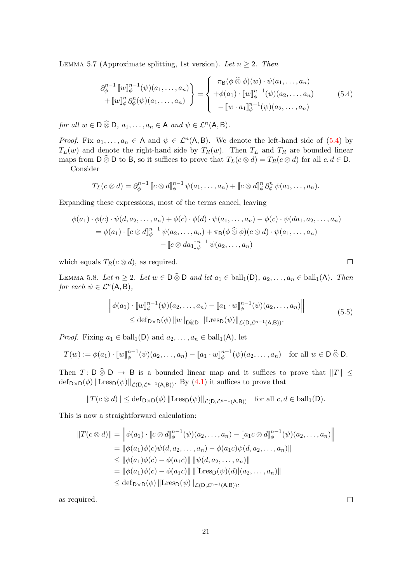<span id="page-20-1"></span>LEMMA 5.7 (Approximate splitting, 1st version). Let  $n \geq 2$ . Then

<span id="page-20-0"></span>
$$
\partial_{\phi}^{n-1} [w]_{\phi}^{n-1}(\psi)(a_1, ..., a_n) = \begin{cases} \pi_{\mathsf{B}}(\phi \widehat{\otimes} \phi)(w) \cdot \psi(a_1, ..., a_n) \\ + [w]_{\phi}^n \partial_{\phi}^n(\psi)(a_1, ..., a_n) \end{cases} \tag{5.4}
$$

$$
- [w \cdot a_1]_{\phi}^{n-1}(\psi)(a_2, ..., a_n)
$$

for all  $w \in D \widehat{\otimes} D$ ,  $a_1, \ldots, a_n \in A$  and  $\psi \in \mathcal{L}^n(A, B)$ .

*Proof.* Fix  $a_1, \ldots, a_n \in A$  and  $\psi \in \mathcal{L}^n(A, B)$ . We denote the left-hand side of [\(5.4\)](#page-20-0) by  $T_L(w)$  and denote the right-hand side by  $T_R(w)$ . Then  $T_L$  and  $T_R$  are bounded linear maps from  $D \widehat{\otimes} D$  to B, so it suffices to prove that  $T_L(c \otimes d) = T_R(c \otimes d)$  for all  $c, d \in D$ .

Consider

$$
T_L(c\otimes d)=\partial_{\phi}^{n-1}\llbracket c\otimes d\rrbracket_{\phi}^{n-1}\psi(a_1,\ldots,a_n)+\llbracket c\otimes d\rrbracket_{\phi}^{n}\partial_{\phi}^{n}\psi(a_1,\ldots,a_n).
$$

Expanding these expressions, most of the terms cancel, leaving

$$
\phi(a_1) \cdot \phi(c) \cdot \psi(d, a_2, \dots, a_n) + \phi(c) \cdot \phi(d) \cdot \psi(a_1, \dots, a_n) - \phi(c) \cdot \psi(da_1, a_2, \dots, a_n)
$$
  
=  $\phi(a_1) \cdot [c \otimes d]_{\phi}^{n-1} \psi(a_2, \dots, a_n) + \pi_{\mathsf{B}}(\phi \otimes \phi)(c \otimes d) \cdot \psi(a_1, \dots, a_n)$   
-  $[c \otimes da_1]_{\phi}^{n-1} \psi(a_2, \dots, a_n)$ 

which equals  $T_R(c \otimes d)$ , as required.

<span id="page-20-2"></span>LEMMA 5.8. Let  $n \geq 2$ . Let  $w \in D \widehat{\otimes} D$  and let  $a_1 \in \text{ball}_1(D)$ ,  $a_2, \ldots, a_n \in \text{ball}_1(A)$ . Then for each  $\psi \in \mathcal{L}^n(\mathsf{A}, \mathsf{B}),$ 

$$
\left\| \phi(a_1) \cdot \left[ w \right]_{\phi}^{n-1}(\psi)(a_2, \dots, a_n) - \left[ a_1 \cdot w \right]_{\phi}^{n-1}(\psi)(a_2, \dots, a_n) \right\|
$$
\n
$$
\leq \text{def}_{\mathsf{D}\times\mathsf{D}}(\phi) \left\| w \right\|_{\mathsf{D}\widehat{\otimes}\mathsf{D}} \left\| \text{Lres}_{\mathsf{D}}(\psi) \right\|_{\mathcal{L}(\mathsf{D}, \mathcal{L}^{n-1}(\mathsf{A}, \mathsf{B}))}.
$$
\n
$$
(5.5)
$$

*Proof.* Fixing  $a_1 \in \text{ball}_1(\mathsf{D})$  and  $a_2, \ldots, a_n \in \text{ball}_1(\mathsf{A})$ , let

$$
T(w) := \phi(a_1) \cdot [w]_{\phi}^{n-1}(\psi)(a_2, \dots, a_n) - [a_1 \cdot w]_{\phi}^{n-1}(\psi)(a_2, \dots, a_n) \text{ for all } w \in D \hat{\otimes} D.
$$

Then T: D  $\hat{\otimes}$  D  $\rightarrow$  B is a bounded linear map and it suffices to prove that  $||T|| \le$  $\det_{\mathsf{D}\times\mathsf{D}}(\phi)$  ||Lres<sub>D</sub>( $\psi$ )||<sub>*L*(D,*Ln*−1(A,B))</sub>. By [\(4.1\)](#page-13-4) it suffices to prove that

$$
||T(c \otimes d)|| \leq \mathrm{def}_{D \times D}(\phi) || \mathrm{Lres}_D(\psi) ||_{\mathcal{L}(D, \mathcal{L}^{n-1}(A, B))} \quad \text{for all } c, d \in \mathrm{ball}_1(D).
$$

This is now a straightforward calculation:

$$
||T(c \otimes d)|| = ||\phi(a_1) \cdot [c \otimes d]]_{\phi}^{n-1}(\psi)(a_2, ..., a_n) - [a_1 c \otimes d]]_{\phi}^{n-1}(\psi)(a_2, ..., a_n)||
$$
  
\n
$$
= ||\phi(a_1)\phi(c)\psi(d, a_2, ..., a_n) - \phi(a_1 c)\psi(d, a_2, ..., a_n)||
$$
  
\n
$$
\leq ||\phi(a_1)\phi(c) - \phi(a_1 c)|| ||\psi(d, a_2, ..., a_n)||
$$
  
\n
$$
= ||\phi(a_1)\phi(c) - \phi(a_1 c)|| ||[Lres_D(\psi)(d)](a_2, ..., a_n)||
$$
  
\n
$$
\leq \text{def}_{D\times D}(\phi) ||Lres_D(\psi)||_{\mathcal{L}(D,\mathcal{L}^{n-1}(A,B))},
$$

as required.

 $\Box$ 

 $\Box$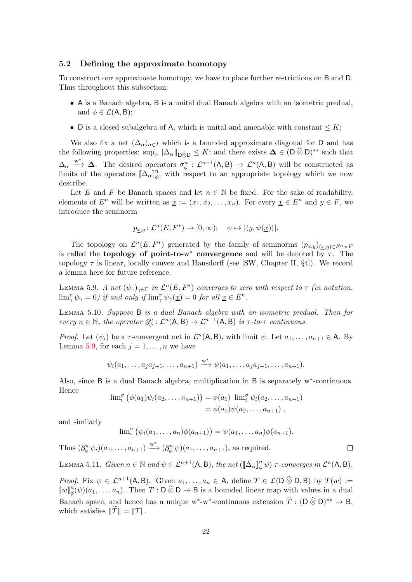#### <span id="page-21-0"></span>5.2 Defining the approximate homotopy

To construct our approximate homotopy, we have to place further restrictions on B and D. Thus throughout this subsection:

- A is a Banach algebra, B is a unital dual Banach algebra with an isometric predual, and  $\phi \in \mathcal{L}(A, B)$ ;
- D is a closed subalgebra of A, which is unital and amenable with constant  $\leq K$ ;

We also fix a net  $(\Delta_{\alpha})_{\alpha \in I}$  which is a bounded approximate diagonal for D and has the following properties:  $\sup_{\alpha} ||\Delta_{\alpha}||_{\mathcal{D}\widehat{\otimes} \mathcal{D}} \leq K$ ; and there exists  $\mathcal{\Delta} \in (\mathcal{D} \widehat{\otimes} \mathcal{D})^{**}$  such that  $\Delta_{\alpha} \stackrel{w^*}{\longrightarrow} \Delta$ . The desired operators  $\sigma_{\phi}^n : \mathcal{L}^{n+1}(\mathsf{A}, \mathsf{B}) \to \mathcal{L}^n(\mathsf{A}, \mathsf{B})$  will be constructed as limits of the operators  $[\![\Delta_\alpha]\!]_{\phi}^n$ , with respect to an appropriate topology which we now describe.

Let E and F be Banach spaces and let  $n \in \mathbb{N}$  be fixed. For the sake of readability, elements of  $E^n$  will be written as  $x := (x_1, x_2, \ldots, x_n)$ . For every  $x \in E^n$  and  $y \in F$ , we introduce the seminorm

$$
p_{\underline{x},y} \colon \mathcal{L}^n(E, F^*) \to [0, \infty); \quad \psi \mapsto |\langle y, \psi(\underline{x}) \rangle|.
$$

The topology on  $\mathcal{L}^n(E, F^*)$  generated by the family of seminorms  $(p_{\underline{x},y})_{(\underline{x},y)\in E^n\times F}$ is called the **topology of point-to-w** convergence and will be denoted by  $\tau$ . The topology  $\tau$  is linear, locally convex and Hausdorff (see [\[SW,](#page-28-16) Chapter II, §4]). We record a lemma here for future reference.

<span id="page-21-1"></span>LEMMA 5.9. A net  $(\psi_{\gamma})_{\gamma \in \Gamma}$  in  $\mathcal{L}^n(E, F^*)$  converges to zero with respect to  $\tau$  (in notation,  $\lim_{\gamma} \psi_{\gamma} = 0$ ) if and only if  $\lim_{\gamma} \psi_{\gamma}(\underline{x}) = 0$  for all  $\underline{x} \in E^n$ .

<span id="page-21-3"></span>Lemma 5.10. Suppose B is a dual Banach algebra with an isometric predual. Then for every  $n \in \mathbb{N}$ , the operator  $\partial_{\phi}^{n} : \mathcal{L}^{n}(A, B) \to \mathcal{L}^{n+1}(A, B)$  is  $\tau$ -to- $\tau$  continuous.

*Proof.* Let  $(\psi_i)$  be a  $\tau$ -convergent net in  $\mathcal{L}^n(\mathsf{A}, \mathsf{B})$ , with limit  $\psi$ . Let  $a_1, \ldots, a_{n+1} \in \mathsf{A}$ . By Lemma [5.9,](#page-21-1) for each  $j = 1, \ldots, n$  we have

$$
\psi_i(a_1,\ldots,a_j a_{j+1},\ldots,a_{n+1}) \xrightarrow{w^*} \psi(a_1,\ldots,a_j a_{j+1},\ldots,a_{n+1}).
$$

Also, since B is a dual Banach algebra, multiplication in B is separately w<sup>∗</sup> -continuous. Hence

$$
\lim_{i} \left( \phi(a_1) \psi_i(a_2, \dots, a_{n+1}) \right) = \phi(a_1) \lim_{i} \psi_i(a_2, \dots, a_{n+1})
$$
  
=  $\phi(a_1) \psi(a_2, \dots, a_{n+1}),$ 

and similarly

$$
\lim_{i} \left( \psi_i(a_1,\ldots,a_n)\phi(a_{n+1}) \right) = \psi(a_1,\ldots,a_n)\phi(a_{n+1}).
$$

 $\Box$ 

Thus  $(\partial_{\phi}^{n} \psi_i)(a_1, \ldots, a_{n+1}) \stackrel{w^*}{\longrightarrow} (\partial_{\phi}^{n} \psi)(a_1, \ldots, a_{n+1}),$  as required.

<span id="page-21-2"></span>LEMMA 5.11. Given  $n \in \mathbb{N}$  and  $\psi \in \mathcal{L}^{n+1}(\mathsf{A}, \mathsf{B})$ , the net  $(\llbracket \Delta_{\alpha} \rrbracket_{\phi}^{n} \psi)$   $\tau$ -converges in  $\mathcal{L}^{n}(\mathsf{A}, \mathsf{B})$ .

*Proof.* Fix  $\psi \in \mathcal{L}^{n+1}(\mathsf{A}, \mathsf{B})$ . Given  $a_1, \ldots, a_n \in \mathsf{A}$ , define  $T \in \mathcal{L}(\mathsf{D} \widehat{\otimes} \mathsf{D}, \mathsf{B})$  by  $T(w) :=$  $\llbracket w \rrbracket_{\phi}^n(\psi)(a_1,\ldots,a_n)$ . Then  $T : \mathsf{D} \widehat{\otimes} \mathsf{D} \to \mathsf{B}$  is a bounded linear map with values in a dual Banach space, and hence has a unique w<sup>\*</sup>-w<sup>\*</sup>-continuous extension  $\widetilde{T} : (D \widehat{\otimes} D)^{**} \to B$ , which satisfies  $\|\tilde{T}\| = \|T\|.$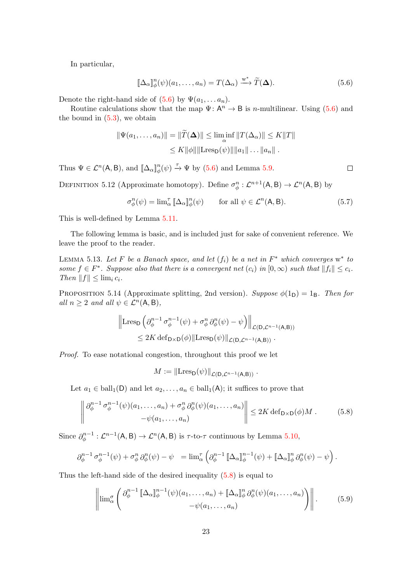In particular,

$$
\llbracket \Delta_{\alpha} \rrbracket_{\phi}^{n}(\psi)(a_1, \dots, a_n) = T(\Delta_{\alpha}) \xrightarrow{\mathbf{w}^*} \widetilde{T}(\Delta).
$$
 (5.6)

Denote the right-hand side of  $(5.6)$  by  $\Psi(a_1, \ldots, a_n)$ .

Routine calculations show that the map  $\Psi: A^n \to B$  is *n*-multilinear. Using [\(5.6\)](#page-22-1) and the bound in  $(5.3)$ , we obtain

$$
\|\Psi(a_1,\ldots,a_n)\| = \|\widetilde{T}(\mathbf{\Delta})\| \le \liminf_{\alpha} \|T(\Delta_{\alpha})\| \le K\|T\|
$$
  

$$
\le K\|\phi\|\|\text{Lres}_{\mathbf{D}}(\psi)\|\|a_1\|\ldots\|a_n\|.
$$

Thus  $\Psi \in \mathcal{L}^n(\mathsf{A}, \mathsf{B})$ , and  $\llbracket \Delta_\alpha \rrbracket^n_\phi(\psi) \stackrel{\tau}{\to} \Psi$  by [\(5.6\)](#page-22-1) and Lemma [5.9.](#page-21-1)

<span id="page-22-5"></span>DEFINITION 5.12 (Approximate homotopy). Define  $\sigma_{\phi}^n : \mathcal{L}^{n+1}(\mathsf{A}, \mathsf{B}) \to \mathcal{L}^n(\mathsf{A}, \mathsf{B})$  by

$$
\sigma_{\phi}^{n}(\psi) = \lim_{\alpha} \mathbb{I}_{\alpha} \llbracket \Delta_{\alpha} \rrbracket_{\phi}^{n}(\psi) \qquad \text{for all } \psi \in \mathcal{L}^{n}(\mathsf{A}, \mathsf{B}). \tag{5.7}
$$

This is well-defined by Lemma [5.11.](#page-21-2)

The following lemma is basic, and is included just for sake of convenient reference. We leave the proof to the reader.

<span id="page-22-4"></span>LEMMA 5.13. Let F be a Banach space, and let  $(f_i)$  be a net in  $F^*$  which converges  $w^*$  to some  $f \in F^*$ . Suppose also that there is a convergent net  $(c_i)$  in  $[0, \infty)$  such that  $||f_i|| \leq c_i$ . Then  $||f|| \leq \lim_i c_i$ .

<span id="page-22-0"></span>PROPOSITION 5.14 (Approximate splitting, 2nd version). Suppose  $\phi(1_D) = 1_B$ . Then for all  $n \geq 2$  and all  $\psi \in \mathcal{L}^n(\mathsf{A}, \mathsf{B}),$ 

$$
\|\text{Lres}_{\mathsf{D}}\left(\partial_{\phi}^{n-1}\sigma_{\phi}^{n-1}(\psi)+\sigma_{\phi}^{n}\partial_{\phi}^{n}(\psi)-\psi\right)\|_{\mathcal{L}(\mathsf{D},\mathcal{L}^{n-1}(\mathsf{A},\mathsf{B}))}\n\n\leq 2K \text{ def}_{\mathsf{D}\times\mathsf{D}}(\phi)\|\text{Lres}_{\mathsf{D}}(\psi)\|_{\mathcal{L}(\mathsf{D},\mathcal{L}^{n-1}(\mathsf{A},\mathsf{B}))}.
$$

Proof. To ease notational congestion, throughout this proof we let

$$
M := \left\| \operatorname{Lres}_{\mathsf{D}}(\psi) \right\|_{\mathcal{L}(\mathsf{D}, \mathcal{L}^{n-1}(\mathsf{A}, \mathsf{B}))}.
$$

Let  $a_1 \in \text{ball}_1(\mathsf{D})$  and let  $a_2, \ldots, a_n \in \text{ball}_1(\mathsf{A})$ ; it suffices to prove that

<span id="page-22-2"></span>
$$
\left\| \frac{\partial_{\phi}^{n-1} \sigma_{\phi}^{n-1}(\psi)(a_1, \dots, a_n) + \sigma_{\phi}^n \partial_{\phi}^n(\psi)(a_1, \dots, a_n)}{-\psi(a_1, \dots, a_n)} \right\| \le 2K \operatorname{def}_{D \times D}(\phi)M. \tag{5.8}
$$

Since  $\partial_{\phi}^{n-1}$  $\mathcal{L}^{n-1} : \mathcal{L}^{n-1}(\mathsf{A}, \mathsf{B}) \to \mathcal{L}^{n}(\mathsf{A}, \mathsf{B})$  is  $\tau$ -to- $\tau$  continuous by Lemma [5.10,](#page-21-3)

$$
\partial_{\phi}^{n-1} \sigma_{\phi}^{n-1}(\psi) + \sigma_{\phi}^{n} \partial_{\phi}^{n}(\psi) - \psi = \lim_{\alpha} \left( \partial_{\phi}^{n-1} [\Delta_{\alpha}]_{\phi}^{n-1}(\psi) + [\Delta_{\alpha}]_{\phi}^{n} \partial_{\phi}^{n}(\psi) - \psi \right).
$$

Thus the left-hand side of the desired inequality [\(5.8\)](#page-22-2) is equal to

<span id="page-22-3"></span>
$$
\left\| \lim_{\alpha} \left( \partial_{\phi}^{n-1} \left[ \Delta_{\alpha} \right]_{\phi}^{n-1} (\psi)(a_1, \dots, a_n) + \left[ \Delta_{\alpha} \right]_{\phi}^{n} \partial_{\phi}^{n} (\psi)(a_1, \dots, a_n) \right) \right\|.
$$
 (5.9)

<span id="page-22-1"></span> $\Box$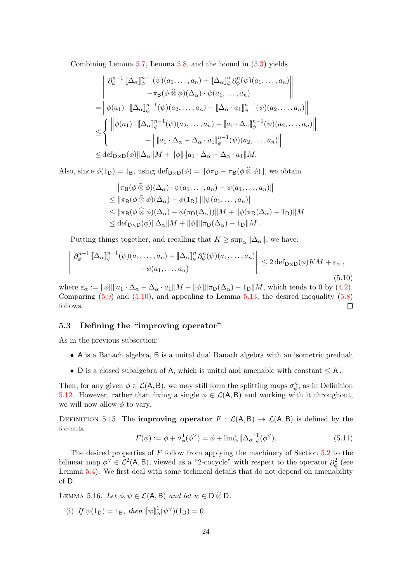Combining Lemma [5.7,](#page-20-1) Lemma [5.8,](#page-20-2) and the bound in [\(5.3\)](#page-19-0) yields

$$
\begin{aligned}\n&\left\|\partial_{\phi}^{n-1}\left[\Delta_{\alpha}\right]_{\phi}^{n-1}(\psi)(a_1,\ldots,a_n)+\left[\Delta_{\alpha}\right]_{\phi}^{n}\partial_{\phi}^{n}(\psi)(a_1,\ldots,a_n)\right| \\
&\quad-\pi_{\mathsf{B}}(\phi\,\widehat{\otimes}\,\phi)(\Delta_{\alpha})\cdot\psi(a_1,\ldots,a_n) \\
&=\left\|\phi(a_1)\cdot\left[\Delta_{\alpha}\right]_{\phi}^{n-1}(\psi)(a_2,\ldots,a_n)-\left[\Delta_{\alpha}\cdot a_1\right]_{\phi}^{n-1}(\psi)(a_2,\ldots,a_n)\right\| \\
&\leq & \left\{\begin{aligned}\n&\left\|\phi(a_1)\cdot\left[\Delta_{\alpha}\right]_{\phi}^{n-1}(\psi)(a_2,\ldots,a_n)-\left[a_1\cdot\Delta_{\alpha}\right]_{\phi}^{n-1}(\psi)(a_2,\ldots,a_n)\right|\right| \\
&\quad+\left\|\left[a_1\cdot\Delta_{\alpha}-\Delta_{\alpha}\cdot a_1\right]_{\phi}^{n-1}(\psi)(a_2,\ldots,a_n)\right|\n\end{aligned}\right.\n\leq & \det_{\mathsf{D}\times\mathsf{D}}(\phi)\|\Delta_{\alpha}\|M+\|\phi\|\|a_1\cdot\Delta_{\alpha}-\Delta_{\alpha}\cdot a_1\|M.\n\end{aligned}
$$

Also, since  $\phi(1_D) = 1_B$ , using  $\text{def}_{D \times D}(\phi) = ||\phi \pi_D - \pi_B(\phi \otimes \phi)||$ , we obtain

$$
\|\pi_{\mathsf{B}}(\phi\widehat{\otimes}\phi)(\Delta_{\alpha})\cdot\psi(a_1,\ldots,a_n)-\psi(a_1,\ldots,a_n)\|
$$
  
\n
$$
\leq \|\pi_{\mathsf{B}}(\phi\widehat{\otimes}\phi)(\Delta_{\alpha})-\phi(1_{\mathsf{D}})\|\|\psi(a_1,\ldots,a_n)\|
$$
  
\n
$$
\leq \|\pi_{\mathsf{B}}(\phi\widehat{\otimes}\phi)(\Delta_{\alpha})-\phi(\pi_{\mathsf{D}}(\Delta_{\alpha}))\|M+\|\phi(\pi_{\mathsf{D}}(\Delta_{\alpha})-1_{\mathsf{D}})\|M
$$
  
\n
$$
\leq \mathrm{def}_{\mathsf{D}\times\mathsf{D}}(\phi)\|\Delta_{\alpha}\|M+\|\phi\|\|\pi_{\mathsf{D}}(\Delta_{\alpha})-1_{\mathsf{D}}\|M.
$$

Putting things together, and recalling that  $K \geq \sup_{\alpha} ||\Delta_{\alpha}||$ , we have:

<span id="page-23-2"></span>
$$
\left\| \partial_{\phi}^{n-1} \left[ \Delta_{\alpha} \right]_{\phi}^{n-1} (\psi)(a_1, \dots, a_n) + \left[ \Delta_{\alpha} \right]_{\phi}^{n} \partial_{\phi}^{n} (\psi)(a_1, \dots, a_n) \right\| \leq 2 \operatorname{def}_{D \times D}(\phi) KM + \varepsilon_{\alpha} ,
$$
\n
$$
-\psi(a_1, \dots, a_n) \tag{5.10}
$$

where  $\varepsilon_{\alpha} := ||\phi|| ||a_1 \cdot \Delta_{\alpha} - \Delta_{\alpha} \cdot a_1||M + ||\phi|| ||\pi_D(\Delta_{\alpha}) - 1_D||M$ , which tends to 0 by [\(4.2\)](#page-13-5). Comparing  $(5.9)$  and  $(5.10)$ , and appealing to Lemma [5.13,](#page-22-4) the desired inequality  $(5.8)$ follows.  $\Box$ 

#### <span id="page-23-0"></span>5.3 Defining the "improving operator"

As in the previous subsection:

- A is a Banach algebra, B is a unital dual Banach algebra with an isometric predual;
- D is a closed subalgebra of A, which is unital and amenable with constant  $\leq K$ .

Then, for any given  $\phi \in \mathcal{L}(\mathsf{A}, \mathsf{B})$ , we may still form the splitting maps  $\sigma_{\phi}^n$ , as in Definition [5.12.](#page-22-5) However, rather than fixing a single  $\phi \in \mathcal{L}(A, B)$  and working with it throughout, we will now allow  $\phi$  to vary.

<span id="page-23-3"></span>DEFINITION 5.15. The **improving operator**  $F : \mathcal{L}(A, B) \to \mathcal{L}(A, B)$  is defined by the formula

<span id="page-23-1"></span>
$$
F(\phi) := \phi + \sigma_{\phi}^{1}(\phi^{\vee}) = \phi + \lim_{\alpha} \mathbb{I} \Delta_{\alpha} \mathbb{I}^{1}_{\phi}(\phi^{\vee}). \tag{5.11}
$$

The desired properties of F follow from applying the machinery of Section [5.2](#page-21-0) to the bilinear map  $\phi^{\vee} \in \mathcal{L}^2(\mathsf{A}, \mathsf{B})$ , viewed as a "2-cocycle" with respect to the operator  $\partial_{\phi}^2$  (see Lemma [5.4\)](#page-19-1). We first deal with some technical details that do not depend on amenability of D.

<span id="page-23-4"></span>LEMMA 5.16. Let  $\phi, \psi \in \mathcal{L}(A, B)$  and let  $w \in D \widehat{\otimes} D$ .

(i) If  $\psi(1_D) = 1_B$ , then  $\psi^1_{\phi}(\psi^{\vee})(1_D) = 0$ .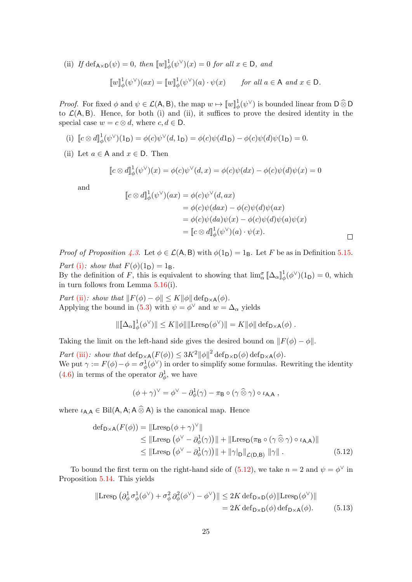(ii) If  $\text{def}_{A\times D}(\psi) = 0$ , then  $[\![w]\!]_{\phi}^{1}(\psi^{\vee})(x) = 0$  for all  $x \in D$ , and

$$
[\![w]\!]_{\phi}^{1}(\psi^{\vee})(ax) = [\![w]\!]_{\phi}^{1}(\psi^{\vee})(a) \cdot \psi(x) \quad \text{for all } a \in \mathsf{A} \text{ and } x \in \mathsf{D}.
$$

*Proof.* For fixed  $\phi$  and  $\psi \in \mathcal{L}(\mathsf{A}, \mathsf{B})$ , the map  $w \mapsto [w]_{\phi}^1(\psi^\vee)$  is bounded linear from  $\mathsf{D} \widehat{\otimes} \mathsf{D}$ to  $\mathcal{L}(A, B)$ . Hence, for both (i) and (ii), it suffices to prove the desired identity in the special case  $w = c \otimes d$ , where  $c, d \in D$ .

(i) 
$$
\[c \otimes d\]_\phi^1(\psi^\vee)(1_D) = \phi(c)\psi^\vee(d, 1_D) = \phi(c)\psi(d1_D) - \phi(c)\psi(d)\psi(1_D) = 0.
$$

(ii) Let  $a \in A$  and  $x \in D$ . Then

$$
[c \otimes d]^1_{\phi}(\psi^{\vee})(x) = \phi(c)\psi^{\vee}(d,x) = \phi(c)\psi(dx) - \phi(c)\psi(d)\psi(x) = 0
$$

and

$$
\begin{aligned} [c \otimes d]_{\phi}^{1}(\psi^{\vee})(ax) &= \phi(c)\psi^{\vee}(d, ax) \\ &= \phi(c)\psi(dax) - \phi(c)\psi(d)\psi(ax) \\ &= \phi(c)\psi(da)\psi(x) - \phi(c)\psi(d)\psi(a)\psi(x) \\ &= [c \otimes d]_{\phi}^{1}(\psi^{\vee})(a) \cdot \psi(x). \end{aligned}
$$

*Proof of Proposition [4.3.](#page-15-1)* Let  $\phi \in \mathcal{L}(A, B)$  with  $\phi(1_D) = 1_B$ . Let F be as in Definition [5.15.](#page-23-3) Part [\(i\)](#page-15-3): show that  $F(\phi)(1_D) = 1_B$ .

By the definition of F, this is equivalent to showing that  $\lim_{\alpha}^{\sigma} [\![\Delta_{\alpha}]\!]_{\phi}^{1}(\phi^{\vee})(1_{D}) = 0$ , which in turn follows from Lemma [5.16\(](#page-23-4)i).

Part [\(ii\)](#page-15-4): show that  $||F(\phi) - \phi|| \leq K ||\phi|| \operatorname{def}_{D \times A}(\phi)$ . Applying the bound in [\(5.3\)](#page-19-0) with  $\psi = \phi^{\vee}$  and  $w = \Delta_{\alpha}$  yields

$$
\|[\![\Delta_\alpha]\!]_\phi^1(\phi^\vee)\| \leq K \|\phi\| \|\text{Lres}_{\mathsf{D}}(\phi^\vee)\| = K \|\phi\| \operatorname{def}_{\mathsf{D}\times\mathsf{A}}(\phi) .
$$

Taking the limit on the left-hand side gives the desired bound on  $||F(\phi) - \phi||$ .

Part [\(iii\)](#page-15-5): show that  $\det_{\mathsf{D}\times\mathsf{A}}(F(\phi)) \leq 3K^2 ||\phi||^2 \det_{\mathsf{D}\times\mathsf{D}}(\phi) \det_{\mathsf{D}\times\mathsf{A}}(\phi)$ . We put  $\gamma := F(\phi) - \phi = \sigma_{\phi}^1(\phi^{\vee})$  in order to simplify some formulas. Rewriting the identity [\(4.6\)](#page-14-2) in terms of the operator  $\partial_{\phi}^1$ , we have

<span id="page-24-1"></span><span id="page-24-0"></span>
$$
(\phi + \gamma)^{\vee} = \phi^{\vee} - \partial_{\phi}^{1}(\gamma) - \pi_{\mathsf{B}} \circ (\gamma \mathbin{\widehat{\otimes}} \gamma) \circ \iota_{\mathsf{A},\mathsf{A}} ,
$$

where  $\iota_{A,A} \in \text{Bil}(A, A; A \widehat{\otimes} A)$  is the canonical map. Hence

$$
\begin{aligned} \text{def}_{\mathsf{D}\times\mathsf{A}}(F(\phi)) &= \|\text{Lres}_{\mathsf{D}}(\phi+\gamma)^{\vee}\| \\ &\leq \|\text{Lres}_{\mathsf{D}}\left(\phi^{\vee}-\partial_{\phi}^{1}(\gamma)\right)\| + \|\text{Lres}_{\mathsf{D}}(\pi_{\mathsf{B}}\circ(\gamma\widehat{\otimes}\gamma)\circ\iota_{\mathsf{A},\mathsf{A}})\| \\ &\leq \|\text{Lres}_{\mathsf{D}}\left(\phi^{\vee}-\partial_{\phi}^{1}(\gamma)\right)\| + \|\gamma\|_{\mathsf{D}}\|_{\mathcal{L}(\mathsf{D},\mathsf{B})}\|\gamma\| \,. \end{aligned} \tag{5.12}
$$

To bound the first term on the right-hand side of  $(5.12)$ , we take  $n = 2$  and  $\psi = \phi^{\vee}$  in Proposition [5.14.](#page-22-0) This yields

$$
\|\text{Lres}_{\mathsf{D}}\left(\partial_{\phi}^{1}\sigma_{\phi}^{1}(\phi^{\vee}) + \sigma_{\phi}^{2}\partial_{\phi}^{2}(\phi^{\vee}) - \phi^{\vee}\right)\| \leq 2K \operatorname{def}_{\mathsf{D}\times\mathsf{D}}(\phi)\|\text{Lres}_{\mathsf{D}}(\phi^{\vee})\|
$$
  
= 2K \operatorname{def}\_{\mathsf{D}\times\mathsf{D}}(\phi) \operatorname{def}\_{\mathsf{D}\times\mathsf{A}}(\phi). (5.13)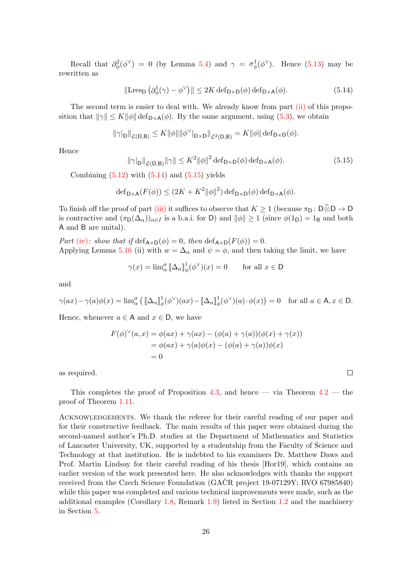Recall that  $\partial_{\phi}^{2}(\phi^{\vee}) = 0$  (by Lemma [5.4\)](#page-19-1) and  $\gamma = \sigma_{\phi}^{1}(\phi^{\vee})$ . Hence [\(5.13\)](#page-24-1) may be rewritten as

<span id="page-25-0"></span>
$$
\|\text{Lres}_{\mathsf{D}}\left(\partial_{\phi}^{1}(\gamma)-\phi^{\vee}\right)\| \leq 2K \operatorname{def}_{\mathsf{D}\times\mathsf{D}}(\phi)\operatorname{def}_{\mathsf{D}\times\mathsf{A}}(\phi). \tag{5.14}
$$

The second term is easier to deal with. We already know from part [\(ii\)](#page-15-4) of this proposition that  $\|\gamma\| \leq K \|\phi\| \operatorname{def}_{D \times A}(\phi)$ . By the same argument, using [\(5.3\)](#page-19-0), we obtain

$$
\|\gamma|_D\|_{\mathcal{L}(D,B)} \leq K \|\phi\| \|\phi^{\vee}\|_{D\times D}\|_{\mathcal{L}^2(D,B)} = K \|\phi\| \operatorname{def}_{D\times D}(\phi).
$$

Hence

<span id="page-25-1"></span>
$$
\|\gamma|_{\mathsf{D}}\|_{\mathcal{L}(\mathsf{D},\mathsf{B})}\|\gamma\| \le K^2 \|\phi\|^2 \operatorname{def}_{\mathsf{D}\times\mathsf{D}}(\phi) \operatorname{def}_{\mathsf{D}\times\mathsf{A}}(\phi). \tag{5.15}
$$

Combining  $(5.12)$  with  $(5.14)$  and  $(5.15)$  yields

$$
\operatorname{def}_{\mathsf{D}\times\mathsf{A}}(F(\phi)) \le (2K + K^2 \|\phi\|^2) \operatorname{def}_{\mathsf{D}\times\mathsf{D}}(\phi) \operatorname{def}_{\mathsf{D}\times\mathsf{A}}(\phi).
$$

To finish off the proof of part [\(iii\)](#page-15-5) it suffices to observe that  $K \geq 1$  (because  $\pi_D : D \widehat{\otimes} D \to D$ is contractive and  $(\pi_D(\Delta_\alpha))_{\alpha \in I}$  is a b.a.i. for D) and  $\|\phi\| \geq 1$  (since  $\phi(1_D) = 1_B$  and both A and B are unital).

Part [\(iv\)](#page-15-6): show that if  $\text{def}_{A\times D}(\phi) = 0$ , then  $\text{def}_{A\times D}(F(\phi)) = 0$ . Applying Lemma [5.16](#page-23-4) (ii) with  $w = \Delta_{\alpha}$  and  $\psi = \phi$ , and then taking the limit, we have

$$
\gamma(x) = \lim_{\alpha}^{\sigma} \llbracket \Delta_{\alpha} \rrbracket_{\phi}^{1}(\phi^{\vee})(x) = 0 \quad \text{for all } x \in \mathsf{D}
$$

and

$$
\gamma(ax) - \gamma(a)\phi(x) = \lim_{\alpha} \left( [\Delta_{\alpha}]_{\phi}^{1}(\phi^{\vee})(ax) - [\Delta_{\alpha}]_{\phi}^{1}(\phi^{\vee})(a) \cdot \phi(x) \right) = 0 \text{ for all } a \in A, x \in D.
$$

Hence, whenever  $a \in A$  and  $x \in D$ , we have

$$
F(\phi)^{\vee}(a, x) = \phi(ax) + \gamma(ax) - (\phi(a) + \gamma(a))(\phi(x) + \gamma(x))
$$
  
=  $\phi(ax) + \gamma(a)\phi(x) - (\phi(a) + \gamma(a))\phi(x)$   
= 0

as required.

This completes the proof of Proposition [4.3,](#page-15-1) and hence — via Theorem  $4.2$  — the proof of Theorem [1.11.](#page-5-2)

ACKNOWLEDGEMENTS. We thank the referee for their careful reading of our paper and for their constructive feedback. The main results of this paper were obtained during the second-named author's Ph.D. studies at the Department of Mathematics and Statistics of Lancaster University, UK, supported by a studentship from the Faculty of Science and Technology at that institution. He is indebted to his examiners Dr. Matthew Daws and Prof. Martin Lindsay for their careful reading of his thesis [\[Hor19\]](#page-28-17), which contains an earlier version of the work presented here. He also acknowledges with thanks the support received from the Czech Science Foundation  $(GA\tilde{C}R$  project 19-07129Y; RVO 67985840) while this paper was completed and various technical improvements were made, such as the additional examples (Corollary [1.8,](#page-4-0) Remark [1.9\)](#page-4-1) listed in Section [1.2](#page-3-0) and the machinery in Section [5.](#page-18-0)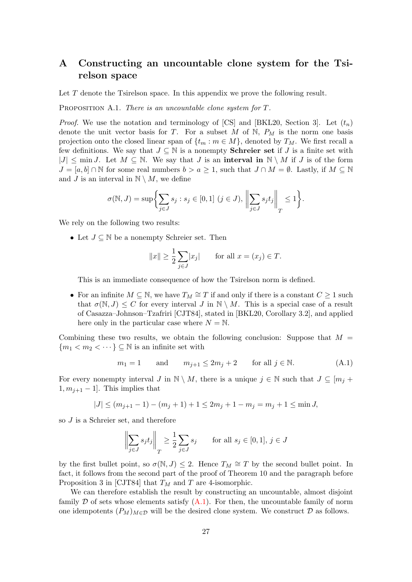# <span id="page-26-0"></span>A Constructing an uncountable clone system for the Tsirelson space

Let T denote the Tsirelson space. In this appendix we prove the following result.

<span id="page-26-1"></span>PROPOSITION A.1. There is an uncountable clone system for T.

*Proof.* We use the notation and terminology of [\[CS\]](#page-27-7) and [\[BKL20,](#page-27-8) Section 3]. Let  $(t_n)$ denote the unit vector basis for T. For a subset M of  $N$ ,  $P_M$  is the norm one basis projection onto the closed linear span of  $\{t_m : m \in M\}$ , denoted by  $T_M$ . We first recall a few definitions. We say that  $J \subseteq \mathbb{N}$  is a nonempty **Schreier set** if  $J$  is a finite set with  $|J| \leq \min J$ . Let  $M \subseteq \mathbb{N}$ . We say that J is an interval in  $\mathbb{N} \setminus M$  if J is of the form  $J = [a, b] \cap \mathbb{N}$  for some real numbers  $b > a \geq 1$ , such that  $J \cap M = \emptyset$ . Lastly, if  $M \subseteq \mathbb{N}$ and J is an interval in  $\mathbb{N} \setminus M$ , we define

$$
\sigma(\mathbb{N}, J) = \sup \biggl\{ \sum_{j \in J} s_j : s_j \in [0, 1] \ (j \in J), \ \biggl\| \sum_{j \in J} s_j t_j \biggr\|_T \le 1 \biggr\}.
$$

We rely on the following two results:

• Let  $J \subseteq \mathbb{N}$  be a nonempty Schreier set. Then

$$
||x|| \ge \frac{1}{2} \sum_{j \in J} |x_j| \quad \text{for all } x = (x_j) \in T.
$$

This is an immediate consequence of how the Tsirelson norm is defined.

• For an infinite  $M \subseteq \mathbb{N}$ , we have  $T_M \cong T$  if and only if there is a constant  $C \geq 1$  such that  $\sigma(N, J) \leq C$  for every interval J in  $N \setminus M$ . This is a special case of a result of Casazza–Johnson–Tzafriri [\[CJT84\]](#page-27-9), stated in [\[BKL20,](#page-27-8) Corollary 3.2], and applied here only in the particular case where  $N = N$ .

Combining these two results, we obtain the following conclusion: Suppose that  $M =$  ${m_1 < m_2 < \cdots \} \subseteq \mathbb{N}$  is an infinite set with

<span id="page-26-2"></span>
$$
m_1 = 1 \qquad \text{and} \qquad m_{j+1} \le 2m_j + 2 \qquad \text{for all } j \in \mathbb{N}. \tag{A.1}
$$

For every nonempty interval J in  $\mathbb{N} \setminus M$ , there is a unique  $j \in \mathbb{N}$  such that  $J \subseteq [m_j + \ell_j]$  $1, m_{j+1} - 1$ . This implies that

$$
|J| \le (m_{j+1} - 1) - (m_j + 1) + 1 \le 2m_j + 1 - m_j = m_j + 1 \le \min J,
$$

so J is a Schreier set, and therefore

$$
\left\| \sum_{j \in J} s_j t_j \right\|_T \ge \frac{1}{2} \sum_{j \in J} s_j \quad \text{for all } s_j \in [0, 1], j \in J
$$

by the first bullet point, so  $\sigma(N, J) \leq 2$ . Hence  $T_M \cong T$  by the second bullet point. In fact, it follows from the second part of the proof of Theorem 10 and the paragraph before Proposition 3 in [\[CJT84\]](#page-27-9) that  $T_M$  and T are 4-isomorphic.

We can therefore establish the result by constructing an uncountable, almost disjoint family D of sets whose elements satisfy  $(A.1)$ . For then, the uncountable family of norm one idempotents  $(P_M)_{M\in\mathcal{D}}$  will be the desired clone system. We construct  $\mathcal D$  as follows.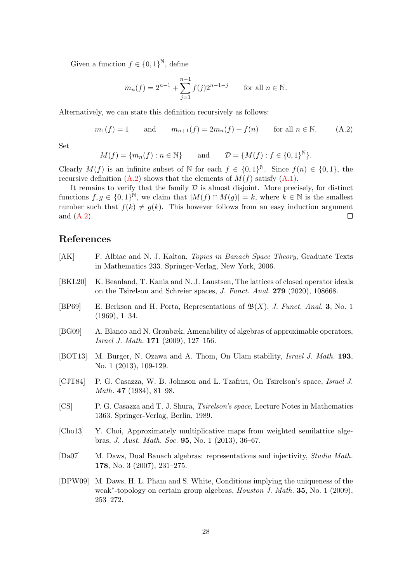Given a function  $f \in \{0,1\}^{\mathbb{N}},$  define

$$
m_n(f) = 2^{n-1} + \sum_{j=1}^{n-1} f(j)2^{n-1-j}
$$
 for all  $n \in \mathbb{N}$ .

Alternatively, we can state this definition recursively as follows:

<span id="page-27-10"></span>
$$
m_1(f) = 1 \qquad \text{and} \qquad m_{n+1}(f) = 2m_n(f) + f(n) \qquad \text{for all } n \in \mathbb{N}.
$$
 (A.2)

Set

$$
M(f) = \{m_n(f) : n \in \mathbb{N}\} \quad \text{and} \quad \mathcal{D} = \{M(f) : f \in \{0, 1\}^{\mathbb{N}}\}.
$$

Clearly  $M(f)$  is an infinite subset of N for each  $f \in \{0,1\}^{\mathbb{N}}$ . Since  $f(n) \in \{0,1\}$ , the recursive definition  $(A.2)$  shows that the elements of  $M(f)$  satisfy  $(A.1)$ .

It remains to verify that the family  $D$  is almost disjoint. More precisely, for distinct functions  $f, g \in \{0,1\}^{\mathbb{N}},$  we claim that  $|M(f) \cap M(g)| = k$ , where  $k \in \mathbb{N}$  is the smallest number such that  $f(k) \neq g(k)$ . This however follows from an easy induction argument and [\(A.2\)](#page-27-10).  $\Box$ 

# References

- <span id="page-27-8"></span><span id="page-27-4"></span><span id="page-27-3"></span><span id="page-27-2"></span><span id="page-27-0"></span>[AK] F. Albiac and N. J. Kalton, Topics in Banach Space Theory, Graduate Texts in Mathematics 233. Springer-Verlag, New York, 2006. [BKL20] K. Beanland, T. Kania and N. J. Laustsen, The lattices of closed operator ideals on the Tsirelson and Schreier spaces, J. Funct. Anal. 279 (2020), 108668. [BP69] E. Berkson and H. Porta, Representations of  $\mathfrak{B}(X)$ , J. Funct. Anal. 3, No. 1 (1969), 1–34. [BG09] A. Blanco and N. Grønbæk, Amenability of algebras of approximable operators, Israel J. Math. 171 (2009), 127–156. [BOT13] M. Burger, N. Ozawa and A. Thom, On Ulam stability, *Israel J. Math.* 193, No. 1 (2013), 109-129. [CJT84] P. G. Casazza, W. B. Johnson and L. Tzafriri, On Tsirelson's space, Israel J. Math. 47 (1984), 81–98. [CS] P. G. Casazza and T. J. Shura, Tsirelson's space, Lecture Notes in Mathematics 1363. Springer-Verlag, Berlin, 1989. [Cho13] Y. Choi, Approximately multiplicative maps from weighted semilattice algebras, J. Aust. Math. Soc. 95, No. 1 (2013), 36–67. [Da07] M. Daws, Dual Banach algebras: representations and injectivity, Studia Math. 178, No. 3 (2007), 231–275. [DPW09] M. Daws, H. L. Pham and S. White, Conditions implying the uniqueness of the
- <span id="page-27-9"></span><span id="page-27-7"></span><span id="page-27-6"></span><span id="page-27-5"></span><span id="page-27-1"></span>weak<sup>\*</sup>-topology on certain group algebras, *Houston J. Math.* 35, No. 1 (2009), 253–272.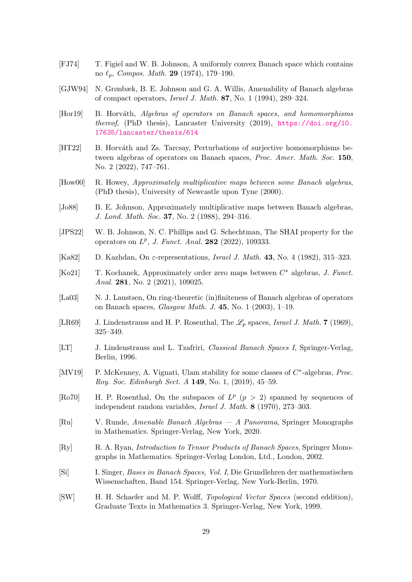- <span id="page-28-11"></span>[FJ74] T. Figiel and W. B. Johnson, A uniformly convex Banach space which contains no  $\ell_n$ , Compos. Math. 29 (1974), 179–190.
- <span id="page-28-6"></span>[GJW94] N. Grønbæk, B. E. Johnson and G. A. Willis, Amenability of Banach algebras of compact operators, Israel J. Math. 87, No. 1 (1994), 289–324.
- <span id="page-28-17"></span>[Hor19] B. Horváth, Algebras of operators on Banach spaces, and homomorphisms thereof, (PhD thesis), Lancaster University (2019), [https://doi.org/10.](https://doi.org/10.17635/lancaster/thesis/614) [17635/lancaster/thesis/614](https://doi.org/10.17635/lancaster/thesis/614)
- <span id="page-28-3"></span>[HT22] B. Horváth and Zs. Tarcsay, Perturbations of surjective homomorphisms between algebras of operators on Banach spaces, Proc. Amer. Math. Soc. 150, No. 2 (2022), 747–761.
- <span id="page-28-4"></span>[How00] R. Howey, Approximately multiplicative maps between some Banach algebras, (PhD thesis), University of Newcastle upon Tyne (2000).
- <span id="page-28-0"></span>[Jo88] B. E. Johnson, Approximately multiplicative maps between Banach algebras, J. Lond. Math. Soc. 37, No. 2 (1988), 294–316.
- <span id="page-28-8"></span>[JPS22] W. B. Johnson, N. C. Phillips and G. Schechtman, The SHAI property for the operators on  $L^p$ , J. Funct. Anal. 282 (2022), 109333.
- <span id="page-28-15"></span>[Ka82] D. Kazhdan, On  $\varepsilon$ -representations, *Israel J. Math.* 43, No. 4 (1982), 315–323.
- <span id="page-28-1"></span>[Ko21] T. Kochanek, Approximately order zero maps between  $C^*$  algebras, J. Funct. Anal. 281, No. 2 (2021), 109025.
- <span id="page-28-12"></span>[La03] N. J. Laustsen, On ring-theoretic (in)finiteness of Banach algebras of operators on Banach spaces, Glasgow Math. J. 45, No. 1 (2003), 1–19.
- <span id="page-28-10"></span>[LR69] J. Lindenstrauss and H. P. Rosenthal, The  $\mathscr{L}_p$  spaces, Israel J. Math. 7 (1969), 325–349.
- <span id="page-28-5"></span>[LT] J. Lindenstrauss and L. Tzafriri, Classical Banach Spaces I, Springer-Verlag, Berlin, 1996.
- <span id="page-28-2"></span>[MV19] P. McKenney, A. Vignati, Ulam stability for some classes of  $C^*$ -algebras, Proc. Roy. Soc. Edinburgh Sect. A 149, No. 1, (2019), 45–59.
- <span id="page-28-9"></span>[Ro70] H. P. Rosenthal, On the subspaces of  $L^p$  ( $p > 2$ ) spanned by sequences of independent random variables, Israel J. Math. 8 (1970), 273–303.
- <span id="page-28-14"></span>[Ru] V. Runde, Amenable Banach Algebras — A Panorama, Springer Monographs in Mathematics. Springer-Verlag, New York, 2020.
- <span id="page-28-13"></span>[Ry] R. A. Ryan, Introduction to Tensor Products of Banach Spaces, Springer Monographs in Mathematics. Springer-Verlag London, Ltd., London, 2002.
- <span id="page-28-7"></span>[Si] I. Singer, Bases in Banach Spaces, Vol. I, Die Grundlehren der mathematischen Wissenschaften, Band 154. Springer-Verlag, New York-Berlin, 1970.
- <span id="page-28-16"></span>[SW] H. H. Schaefer and M. P. Wolff, Topological Vector Spaces (second eddition), Graduate Texts in Mathematics 3. Springer-Verlag, New York, 1999.